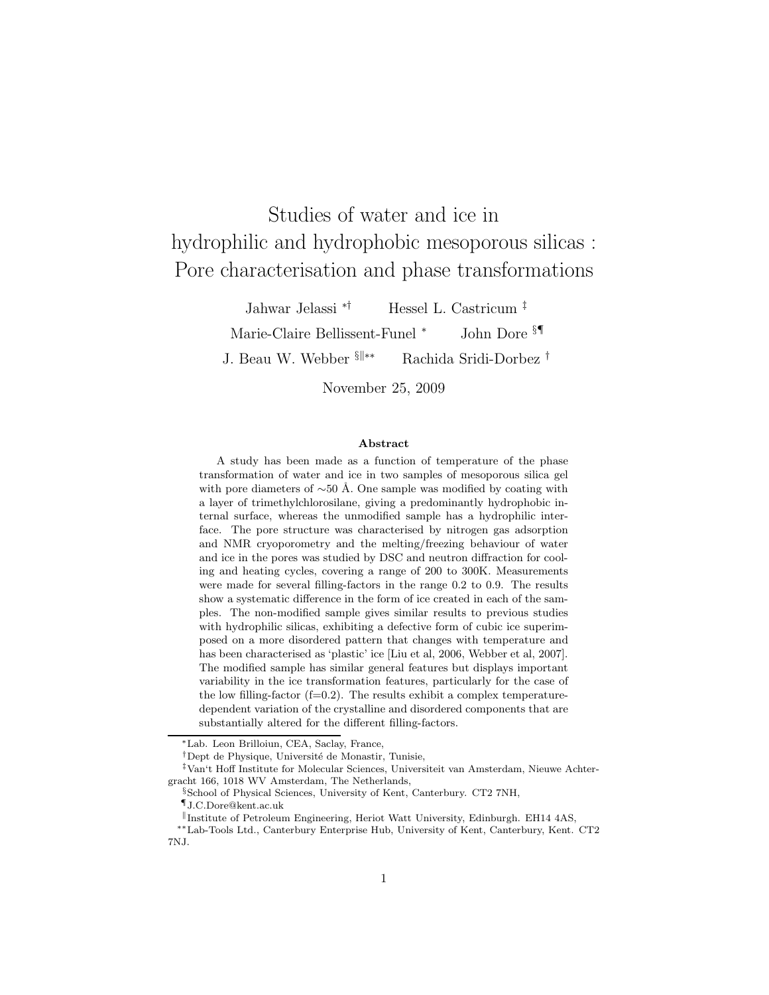# Studies of water and ice in hydrophilic and hydrophobic mesoporous silicas : Pore characterisation and phase transformations

Jahwar Jelassi ∗† Hessel L. Castricum ‡ Marie-Claire Bellissent-Funel <sup>∗</sup> John Dore §¶ J. Beau W. Webber <sup>§||∗∗</sup> Rachida Sridi-Dorbez †

November 25, 2009

#### Abstract

A study has been made as a function of temperature of the phase transformation of water and ice in two samples of mesoporous silica gel with pore diameters of  $~50$  Å. One sample was modified by coating with a layer of trimethylchlorosilane, giving a predominantly hydrophobic internal surface, whereas the unmodified sample has a hydrophilic interface. The pore structure was characterised by nitrogen gas adsorption and NMR cryoporometry and the melting/freezing behaviour of water and ice in the pores was studied by DSC and neutron diffraction for cooling and heating cycles, covering a range of 200 to 300K. Measurements were made for several filling-factors in the range 0.2 to 0.9. The results show a systematic difference in the form of ice created in each of the samples. The non-modified sample gives similar results to previous studies with hydrophilic silicas, exhibiting a defective form of cubic ice superimposed on a more disordered pattern that changes with temperature and has been characterised as 'plastic' ice [Liu et al, 2006, Webber et al, 2007]. The modified sample has similar general features but displays important variability in the ice transformation features, particularly for the case of the low filling-factor  $(f=0.2)$ . The results exhibit a complex temperaturedependent variation of the crystalline and disordered components that are substantially altered for the different filling-factors.

<sup>∗</sup>Lab. Leon Brilloiun, CEA, Saclay, France,

<sup>&</sup>lt;sup>†</sup>Dept de Physique, Université de Monastir, Tunisie,

<sup>‡</sup>Van't Hoff Institute for Molecular Sciences, Universiteit van Amsterdam, Nieuwe Achtergracht 166, 1018 WV Amsterdam, The Netherlands,

<sup>§</sup>School of Physical Sciences, University of Kent, Canterbury. CT2 7NH, ¶J.C.Dore@kent.ac.uk

Institute of Petroleum Engineering, Heriot Watt University, Edinburgh. EH14 4AS,

<sup>∗∗</sup>Lab-Tools Ltd., Canterbury Enterprise Hub, University of Kent, Canterbury, Kent. CT2 7NJ.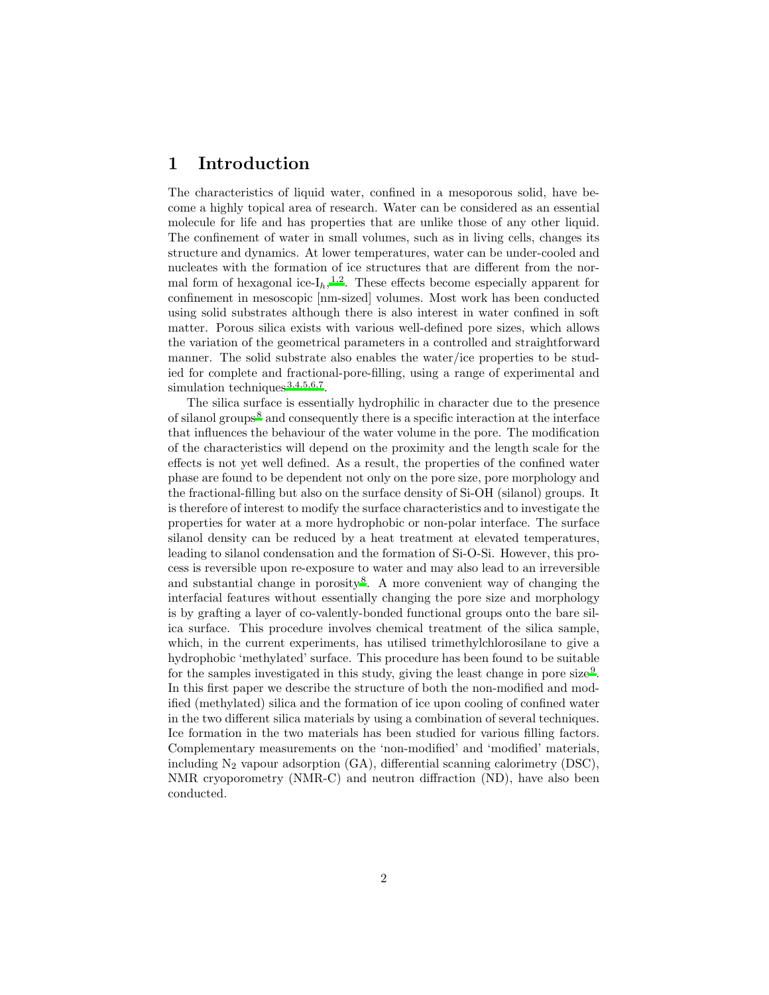### 1 Introduction

The characteristics of liquid water, confined in a mesoporous solid, have become a highly topical area of research. Water can be considered as an essential molecule for life and has properties that are unlike those of any other liquid. The confinement of water in small volumes, such as in living cells, changes its structure and dynamics. At lower temperatures, water can be under-cooled and nucleates with the formation of ice structures that are different from the normal form of hexagonal ice- $I_h$ ,<sup>[1](#page-29-0)[,2](#page-29-1)</sup>. These effects become especially apparent for confinement in mesoscopic [nm-sized] volumes. Most work has been conducted using solid substrates although there is also interest in water confined in soft matter. Porous silica exists with various well-defined pore sizes, which allows the variation of the geometrical parameters in a controlled and straightforward manner. The solid substrate also enables the water/ice properties to be studied for complete and fractional-pore-filling, using a range of experimental and simulation techniques  $3,4,5,6,7$  $3,4,5,6,7$  $3,4,5,6,7$  $3,4,5,6,7$  $3,4,5,6,7$ .

The silica surface is essentially hydrophilic in character due to the presence of silanol groups<sup>[8](#page-29-7)</sup> and consequently there is a specific interaction at the interface that influences the behaviour of the water volume in the pore. The modification of the characteristics will depend on the proximity and the length scale for the effects is not yet well defined. As a result, the properties of the confined water phase are found to be dependent not only on the pore size, pore morphology and the fractional-filling but also on the surface density of Si-OH (silanol) groups. It is therefore of interest to modify the surface characteristics and to investigate the properties for water at a more hydrophobic or non-polar interface. The surface silanol density can be reduced by a heat treatment at elevated temperatures, leading to silanol condensation and the formation of Si-O-Si. However, this process is reversible upon re-exposure to water and may also lead to an irreversible and substantial change in porosity<sup>[8](#page-29-7)</sup>. A more convenient way of changing the interfacial features without essentially changing the pore size and morphology is by grafting a layer of co-valently-bonded functional groups onto the bare silica surface. This procedure involves chemical treatment of the silica sample, which, in the current experiments, has utilised trimethylchlorosilane to give a hydrophobic 'methylated' surface. This procedure has been found to be suitable for the samples investigated in this study, giving the least change in pore size<sup>[9](#page-29-8)</sup>. In this first paper we describe the structure of both the non-modified and modified (methylated) silica and the formation of ice upon cooling of confined water in the two different silica materials by using a combination of several techniques. Ice formation in the two materials has been studied for various filling factors. Complementary measurements on the 'non-modified' and 'modified' materials, including  $N_2$  vapour adsorption  $(GA)$ , differential scanning calorimetry  $(DSC)$ , NMR cryoporometry (NMR-C) and neutron diffraction (ND), have also been conducted.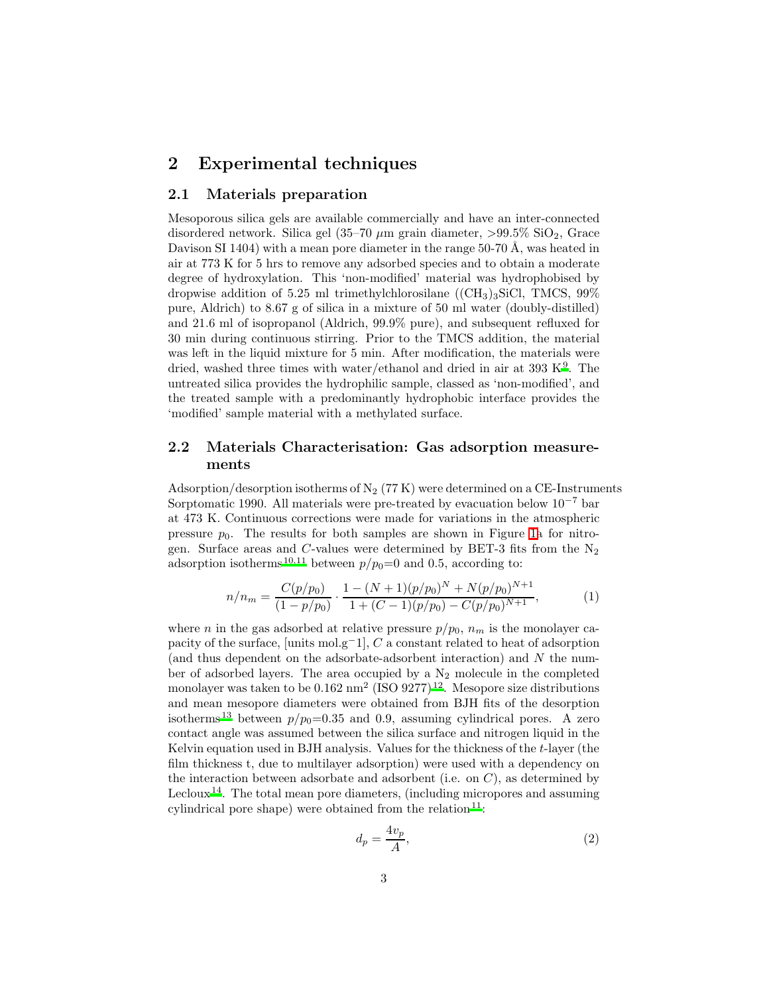### 2 Experimental techniques

### 2.1 Materials preparation

Mesoporous silica gels are available commercially and have an inter-connected disordered network. Silica gel (35–70  $\mu$ m grain diameter, >99.5% SiO<sub>2</sub>, Grace Davison SI 1404) with a mean pore diameter in the range  $50-70$  Å, was heated in air at 773 K for 5 hrs to remove any adsorbed species and to obtain a moderate degree of hydroxylation. This 'non-modified' material was hydrophobised by dropwise addition of 5.25 ml trimethylchlorosilane ( $(CH_3)_3$ SiCl, TMCS, 99% pure, Aldrich) to 8.67 g of silica in a mixture of 50 ml water (doubly-distilled) and 21.6 ml of isopropanol (Aldrich, 99.9% pure), and subsequent refluxed for 30 min during continuous stirring. Prior to the TMCS addition, the material was left in the liquid mixture for 5 min. After modification, the materials were dried, washed three times with water/ethanol and dried in air at  $393 \text{ K}^9$  $393 \text{ K}^9$  $393 \text{ K}^9$ . The untreated silica provides the hydrophilic sample, classed as 'non-modified', and the treated sample with a predominantly hydrophobic interface provides the 'modified' sample material with a methylated surface.

### 2.2 Materials Characterisation: Gas adsorption measurements

Adsorption/desorption isotherms of  $N_2$  (77 K) were determined on a CE-Instruments Sorptomatic 1990. All materials were pre-treated by evacuation below  $10^{-7}$  bar at 473 K. Continuous corrections were made for variations in the atmospheric pressure  $p_0$ . The results for both samples are shown in Figure [1a](#page-3-0) for nitrogen. Surface areas and C-values were determined by BET-3 fits from the  $N_2$ adsorption isotherms<sup>[10](#page-29-9)[,11](#page-29-10)</sup> between  $p/p_0=0$  and 0.5, according to:

$$
n/n_m = \frac{C(p/p_0)}{(1-p/p_0)} \cdot \frac{1 - (N+1)(p/p_0)^N + N(p/p_0)^{N+1}}{1 + (C-1)(p/p_0) - C(p/p_0)^{N+1}},
$$
(1)

where n in the gas adsorbed at relative pressure  $p/p_0$ ,  $n_m$  is the monolayer capacity of the surface, [units mol.g<sup>−</sup>1], C a constant related to heat of adsorption (and thus dependent on the adsorbate-adsorbent interaction) and  $N$  the number of adsorbed layers. The area occupied by a  $N_2$  molecule in the completed monolayer was taken to be  $0.162 \text{ nm}^2$  (ISO  $9277$ )<sup>[12](#page-29-11)</sup>. Mesopore size distributions and mean mesopore diameters were obtained from BJH fits of the desorption isotherms<sup>[13](#page-29-12)</sup> between  $p/p_0=0.35$  and 0.9, assuming cylindrical pores. A zero contact angle was assumed between the silica surface and nitrogen liquid in the Kelvin equation used in BJH analysis. Values for the thickness of the t-layer (the film thickness t, due to multilayer adsorption) were used with a dependency on the interaction between adsorbate and adsorbent (i.e. on  $C$ ), as determined by Lecloux<sup>[14](#page-29-13)</sup>. The total mean pore diameters, (including micropores and assuming cylindrical pore shape) were obtained from the relation $11$ :

$$
d_p = \frac{4v_p}{A},\tag{2}
$$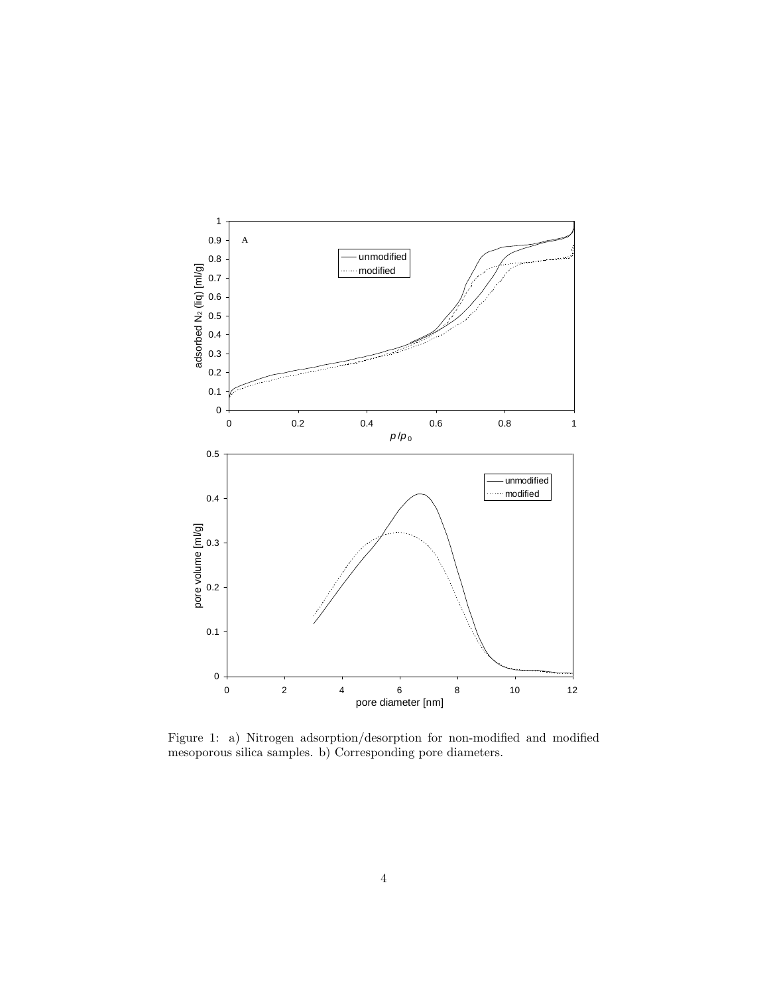

<span id="page-3-0"></span>Figure 1: a) Nitrogen adsorption/desorption for non-modified and modified mesoporous silica samples. b) Corresponding pore diameters.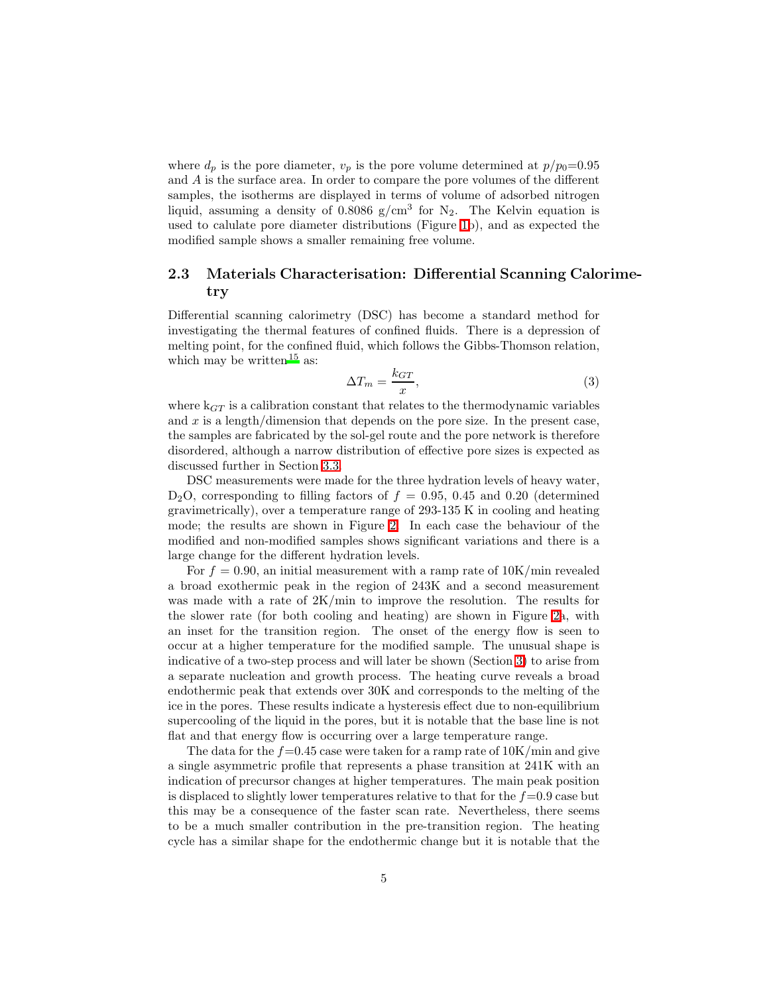where  $d_p$  is the pore diameter,  $v_p$  is the pore volume determined at  $p/p_0=0.95$ and A is the surface area. In order to compare the pore volumes of the different samples, the isotherms are displayed in terms of volume of adsorbed nitrogen liquid, assuming a density of 0.8086  $g/cm<sup>3</sup>$  for N<sub>2</sub>. The Kelvin equation is used to calulate pore diameter distributions (Figure [1b](#page-3-0)), and as expected the modified sample shows a smaller remaining free volume.

### 2.3 Materials Characterisation: Differential Scanning Calorimetry

Differential scanning calorimetry (DSC) has become a standard method for investigating the thermal features of confined fluids. There is a depression of melting point, for the confined fluid, which follows the Gibbs-Thomson relation, which may be written<sup>[15](#page-29-14)</sup> as:

$$
\Delta T_m = \frac{k_{GT}}{x},\tag{3}
$$

where  $k_{GT}$  is a calibration constant that relates to the thermodynamic variables and  $x$  is a length/dimension that depends on the pore size. In the present case, the samples are fabricated by the sol-gel route and the pore network is therefore disordered, although a narrow distribution of effective pore sizes is expected as discussed further in Section [3.3.](#page-12-0)

DSC measurements were made for the three hydration levels of heavy water,  $D_2O$ , corresponding to filling factors of  $f = 0.95, 0.45$  and 0.20 (determined gravimetrically), over a temperature range of 293-135 K in cooling and heating mode; the results are shown in Figure [2.](#page-6-0) In each case the behaviour of the modified and non-modified samples shows significant variations and there is a large change for the different hydration levels.

For  $f = 0.90$ , an initial measurement with a ramp rate of  $10K/min$  revealed a broad exothermic peak in the region of 243K and a second measurement was made with a rate of 2K/min to improve the resolution. The results for the slower rate (for both cooling and heating) are shown in Figure [2a](#page-6-0), with an inset for the transition region. The onset of the energy flow is seen to occur at a higher temperature for the modified sample. The unusual shape is indicative of a two-step process and will later be shown (Section [3\)](#page-9-0) to arise from a separate nucleation and growth process. The heating curve reveals a broad endothermic peak that extends over 30K and corresponds to the melting of the ice in the pores. These results indicate a hysteresis effect due to non-equilibrium supercooling of the liquid in the pores, but it is notable that the base line is not flat and that energy flow is occurring over a large temperature range.

The data for the  $f=0.45$  case were taken for a ramp rate of  $10K/min$  and give a single asymmetric profile that represents a phase transition at 241K with an indication of precursor changes at higher temperatures. The main peak position is displaced to slightly lower temperatures relative to that for the  $f=0.9$  case but this may be a consequence of the faster scan rate. Nevertheless, there seems to be a much smaller contribution in the pre-transition region. The heating cycle has a similar shape for the endothermic change but it is notable that the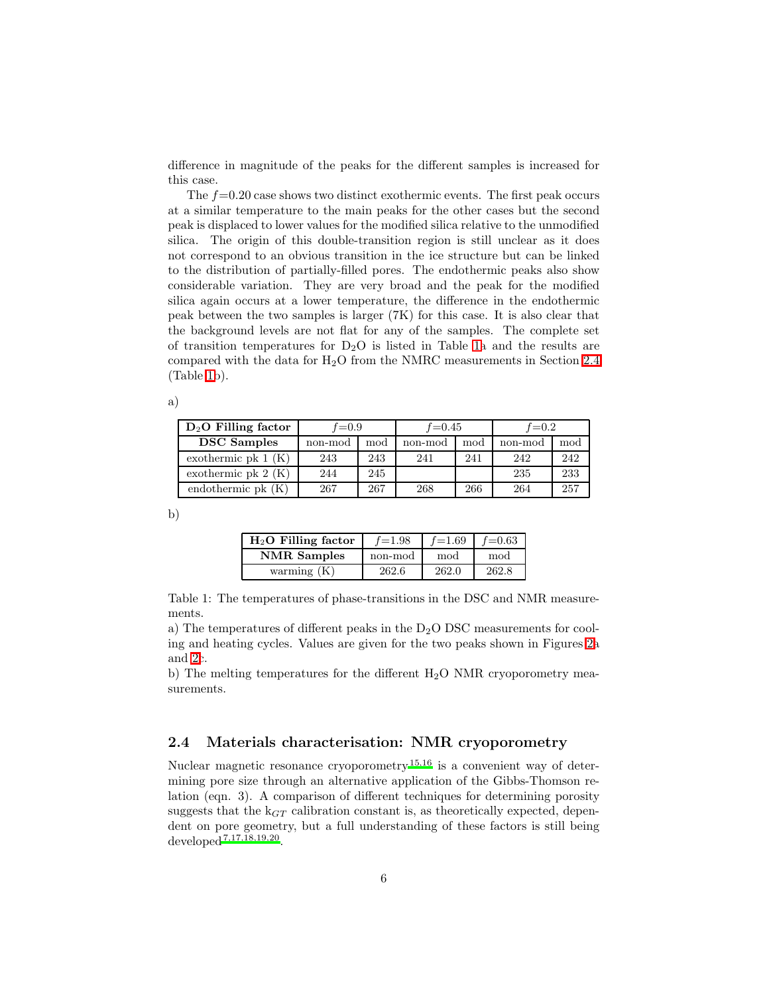difference in magnitude of the peaks for the different samples is increased for this case.

The  $f=0.20$  case shows two distinct exothermic events. The first peak occurs at a similar temperature to the main peaks for the other cases but the second peak is displaced to lower values for the modified silica relative to the unmodified silica. The origin of this double-transition region is still unclear as it does not correspond to an obvious transition in the ice structure but can be linked to the distribution of partially-filled pores. The endothermic peaks also show considerable variation. They are very broad and the peak for the modified silica again occurs at a lower temperature, the difference in the endothermic peak between the two samples is larger (7K) for this case. It is also clear that the background levels are not flat for any of the samples. The complete set of transition temperatures for  $D_2O$  is listed in Table [1a](#page-5-0) and the results are compared with the data for  $H_2O$  from the NMRC measurements in Section [2.4](#page-5-1) (Table [1b](#page-5-0)).

| $D_2$ O Filling factor | $f = 0.9$ |     | $f = 0.45$ |     | $f = 0.2$ |     |
|------------------------|-----------|-----|------------|-----|-----------|-----|
| <b>DSC</b> Samples     | non-mod   | mod | non-mod    | mod | non-mod   | mod |
| exothermic pk $1(K)$   | 243       | 243 | 241        | 241 | 242       | 242 |
| exothermic pk $2(K)$   | 244       | 245 |            |     | 235       | 233 |
| endothermic pk $(K)$   | 267       | 267 | 268        | 266 | 264       | 257 |

b)

| $H_2O$ Filling factor | $f = 1.98$ | $f = 1.69$ | $f = 0.63$ |
|-----------------------|------------|------------|------------|
| <b>NMR</b> Samples    | non-mod    | mod        | mod        |
| warming $(K)$         | 262.6      | 262.0      | 262.8      |

<span id="page-5-0"></span>Table 1: The temperatures of phase-transitions in the DSC and NMR measurements.

a) The temperatures of different peaks in the  $D_2O$  DSC measurements for cooling and heating cycles. Values are given for the two peaks shown in Figures [2a](#page-6-0) and [2c](#page-6-0).

b) The melting temperatures for the different  $H_2O$  NMR cryoporometry measurements.

### <span id="page-5-1"></span>2.4 Materials characterisation: NMR cryoporometry

Nuclear magnetic resonance cryoporometry<sup>[15](#page-29-14)[,16](#page-29-15)</sup> is a convenient way of determining pore size through an alternative application of the Gibbs-Thomson relation (eqn. 3). A comparison of different techniques for determining porosity suggests that the  $k_{GT}$  calibration constant is, as theoretically expected, dependent on pore geometry, but a full understanding of these factors is still being developed<sup>[7](#page-29-6)[,17](#page-29-16)[,18](#page-29-17)[,19](#page-29-18)[,20](#page-30-0)</sup>.

| . . | ¢ |
|-----|---|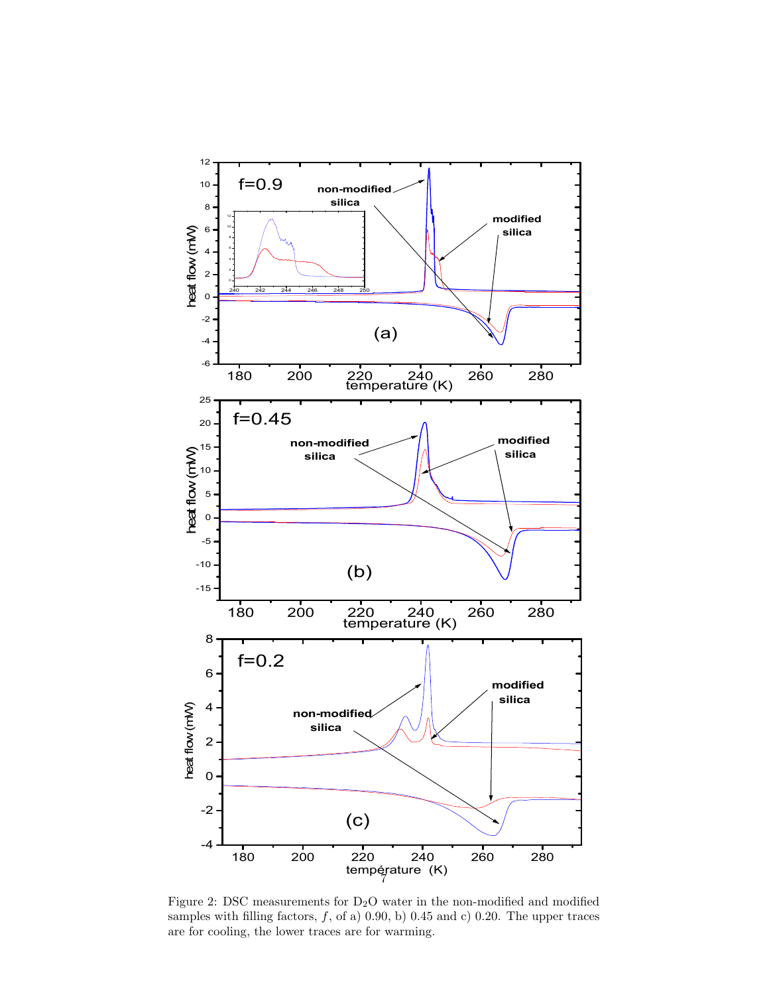

<span id="page-6-0"></span>Figure 2: DSC measurements for  $D_2O$  water in the non-modified and modified samples with filling factors,  $f$ , of a) 0.90, b) 0.45 and c) 0.20. The upper traces are for cooling, the lower traces are for warming.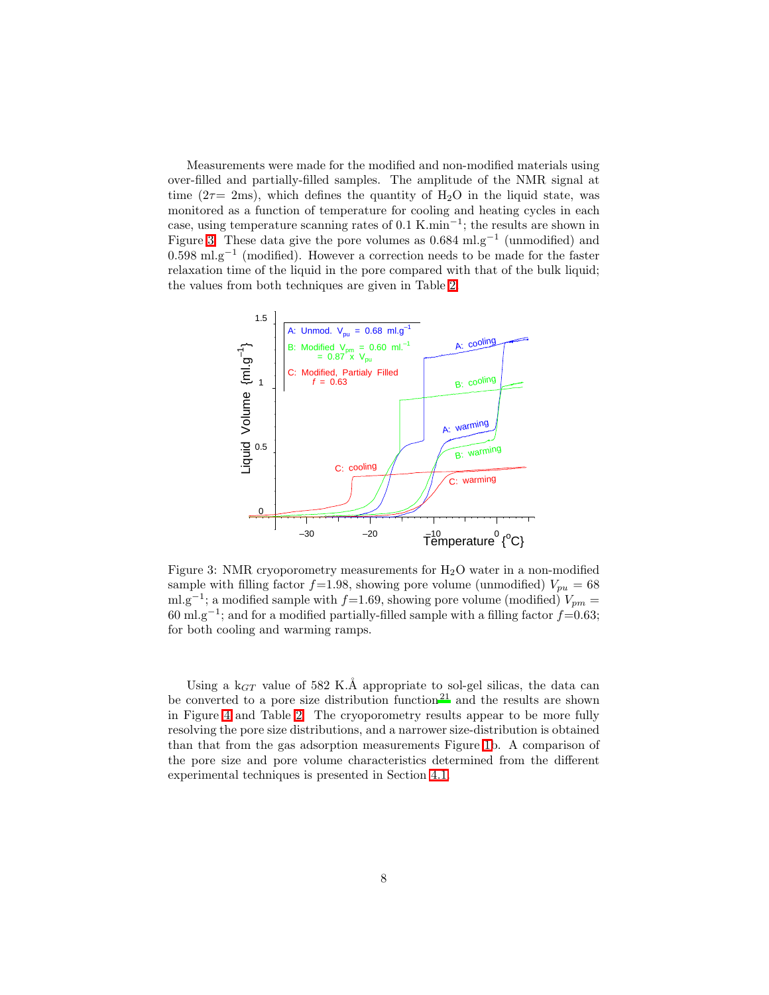Measurements were made for the modified and non-modified materials using over-filled and partially-filled samples. The amplitude of the NMR signal at time ( $2\tau$  = 2ms), which defines the quantity of H<sub>2</sub>O in the liquid state, was monitored as a function of temperature for cooling and heating cycles in each case, using temperature scanning rates of 0.1 K.min−<sup>1</sup> ; the results are shown in Figure [3.](#page-7-0) These data give the pore volumes as  $0.684 \text{ ml} \text{·g}^{-1}$  (unmodified) and 0.598 ml.g−<sup>1</sup> (modified). However a correction needs to be made for the faster relaxation time of the liquid in the pore compared with that of the bulk liquid; the values from both techniques are given in Table [2.](#page-8-0)



<span id="page-7-0"></span>Figure 3: NMR cryoporometry measurements for  $H_2O$  water in a non-modified sample with filling factor  $f=1.98$ , showing pore volume (unmodified)  $V_{pu} = 68$ ml.g<sup>-1</sup>; a modified sample with f=1.69, showing pore volume (modified)  $V_{pm}$  $60 \text{ ml} \cdot \text{g}^{-1}$ ; and for a modified partially-filled sample with a filling factor  $f=0.63$ ; for both cooling and warming ramps.

Using a  $k_{GT}$  value of 582 K.Å appropriate to sol-gel silicas, the data can be converted to a pore size distribution function<sup>[21](#page-30-1)</sup> and the results are shown in Figure [4](#page-8-1) and Table [2.](#page-8-0) The cryoporometry results appear to be more fully resolving the pore size distributions, and a narrower size-distribution is obtained than that from the gas adsorption measurements Figure [1b](#page-3-0). A comparison of the pore size and pore volume characteristics determined from the different experimental techniques is presented in Section [4.1.](#page-14-0)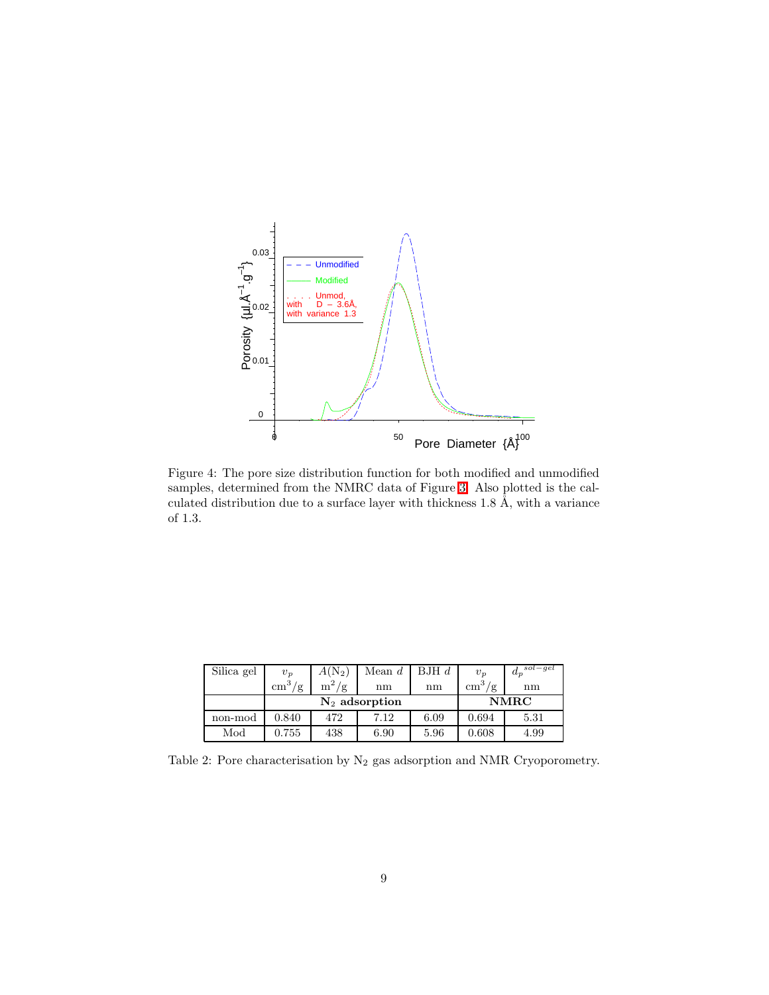

<span id="page-8-1"></span>Figure 4: The pore size distribution function for both modified and unmodified samples, determined from the NMRC data of Figure [3.](#page-7-0) Also plotted is the calculated distribution due to a surface layer with thickness  $1.8 \text{ Å}$ , with a variance of 1.3.

| Silica gel           | $v_p$                   | $A(N_2)$ | Mean $d$ | BJH d | $v_p$                  | $sol-qel$ |
|----------------------|-------------------------|----------|----------|-------|------------------------|-----------|
|                      | 3<br>$\mathbf{g}$<br>cm | $m^2/g$  | nm       | nm    | $\text{cm}^3/\text{g}$ | nm        |
|                      | $N_2$ adsorption        |          |          |       | <b>NMRC</b>            |           |
| non-mod              | 0.840                   | 472      | 7.12     | 6.09  | 0.694                  | 5.31      |
| $\operatorname{Mod}$ | 0.755                   | 438      | 6.90     | 5.96  | 0.608                  | 4.99      |

<span id="page-8-0"></span>Table 2: Pore characterisation by  $\mathrm{N}_2$  gas adsorption and NMR Cryoporometry.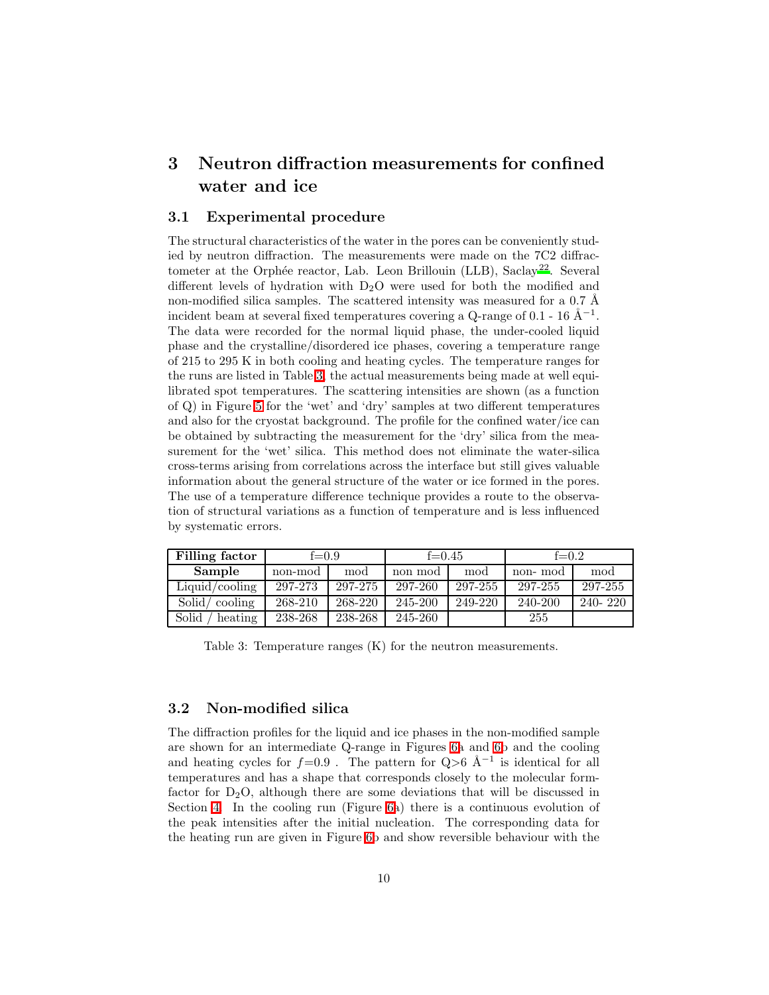# <span id="page-9-0"></span>3 Neutron diffraction measurements for confined water and ice

### 3.1 Experimental procedure

The structural characteristics of the water in the pores can be conveniently studied by neutron diffraction. The measurements were made on the 7C2 diffrac-tometer at the Orphée reactor, Lab. Leon Brillouin (LLB), Saclay<sup>[22](#page-30-2)</sup>. Several different levels of hydration with  $D_2O$  were used for both the modified and non-modified silica samples. The scattered intensity was measured for a 0.7 Å incident beam at several fixed temperatures covering a Q-range of 0.1 - 16  $\AA^{-1}$ . The data were recorded for the normal liquid phase, the under-cooled liquid phase and the crystalline/disordered ice phases, covering a temperature range of 215 to 295 K in both cooling and heating cycles. The temperature ranges for the runs are listed in Table [3,](#page-9-1) the actual measurements being made at well equilibrated spot temperatures. The scattering intensities are shown (as a function of Q) in Figure [5](#page-10-0) for the 'wet' and 'dry' samples at two different temperatures and also for the cryostat background. The profile for the confined water/ice can be obtained by subtracting the measurement for the 'dry' silica from the measurement for the 'wet' silica. This method does not eliminate the water-silica cross-terms arising from correlations across the interface but still gives valuable information about the general structure of the water or ice formed in the pores. The use of a temperature difference technique provides a route to the observation of structural variations as a function of temperature and is less influenced by systematic errors.

| Filling factor   | $f=0.9$ |         | $f=0.45$ |         | $f=0.2$ |             |
|------------------|---------|---------|----------|---------|---------|-------------|
| Sample           | non-mod | mod     | non mod  | mod     | non-mod | mod         |
| Liquid/cooling   | 297-273 | 297-275 | 297-260  | 297-255 | 297-255 | 297-255     |
| Solid/cooling    | 268-210 | 268-220 | 245-200  | 249-220 | 240-200 | $240 - 220$ |
| Solid<br>heating | 238-268 | 238-268 | 245-260  |         | 255     |             |

<span id="page-9-1"></span>Table 3: Temperature ranges (K) for the neutron measurements.

#### <span id="page-9-2"></span>3.2 Non-modified silica

The diffraction profiles for the liquid and ice phases in the non-modified sample are shown for an intermediate Q-range in Figures [6a](#page-11-0) and [6b](#page-11-0) and the cooling and heating cycles for  $f=0.9$ . The pattern for Q>6 Å<sup>-1</sup> is identical for all temperatures and has a shape that corresponds closely to the molecular formfactor for  $D_2O$ , although there are some deviations that will be discussed in Section [4.](#page-14-1) In the cooling run (Figure [6a](#page-11-0)) there is a continuous evolution of the peak intensities after the initial nucleation. The corresponding data for the heating run are given in Figure [6b](#page-11-0) and show reversible behaviour with the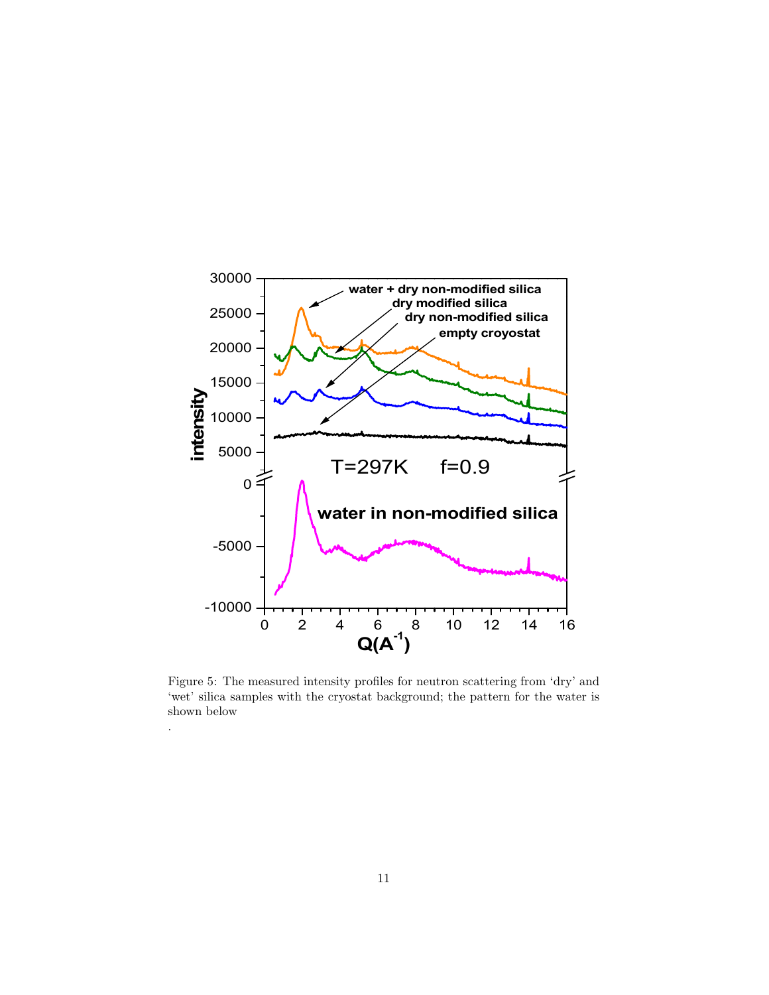

<span id="page-10-0"></span>Figure 5: The measured intensity profiles for neutron scattering from 'dry' and 'wet' silica samples with the cryostat background; the pattern for the water is shown below

.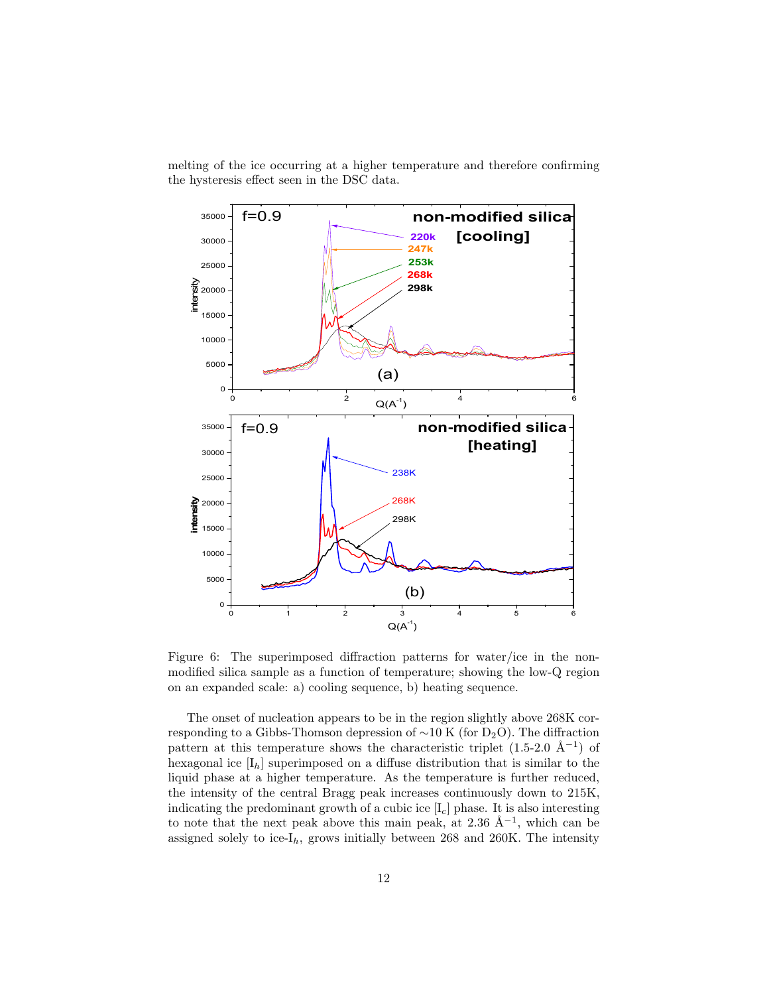melting of the ice occurring at a higher temperature and therefore confirming the hysteresis effect seen in the DSC data.



<span id="page-11-0"></span>Figure 6: The superimposed diffraction patterns for water/ice in the nonmodified silica sample as a function of temperature; showing the low-Q region on an expanded scale: a) cooling sequence, b) heating sequence.

The onset of nucleation appears to be in the region slightly above 268K corresponding to a Gibbs-Thomson depression of  $\sim$ 10 K (for D<sub>2</sub>O). The diffraction pattern at this temperature shows the characteristic triplet  $(1.5-2.0 \text{ Å}^{-1})$  of hexagonal ice  $[I_h]$  superimposed on a diffuse distribution that is similar to the liquid phase at a higher temperature. As the temperature is further reduced, the intensity of the central Bragg peak increases continuously down to 215K, indicating the predominant growth of a cubic ice  $[I_c]$  phase. It is also interesting to note that the next peak above this main peak, at 2.36 Å<sup>-1</sup>, which can be assigned solely to ice- $I_h$ , grows initially between 268 and 260K. The intensity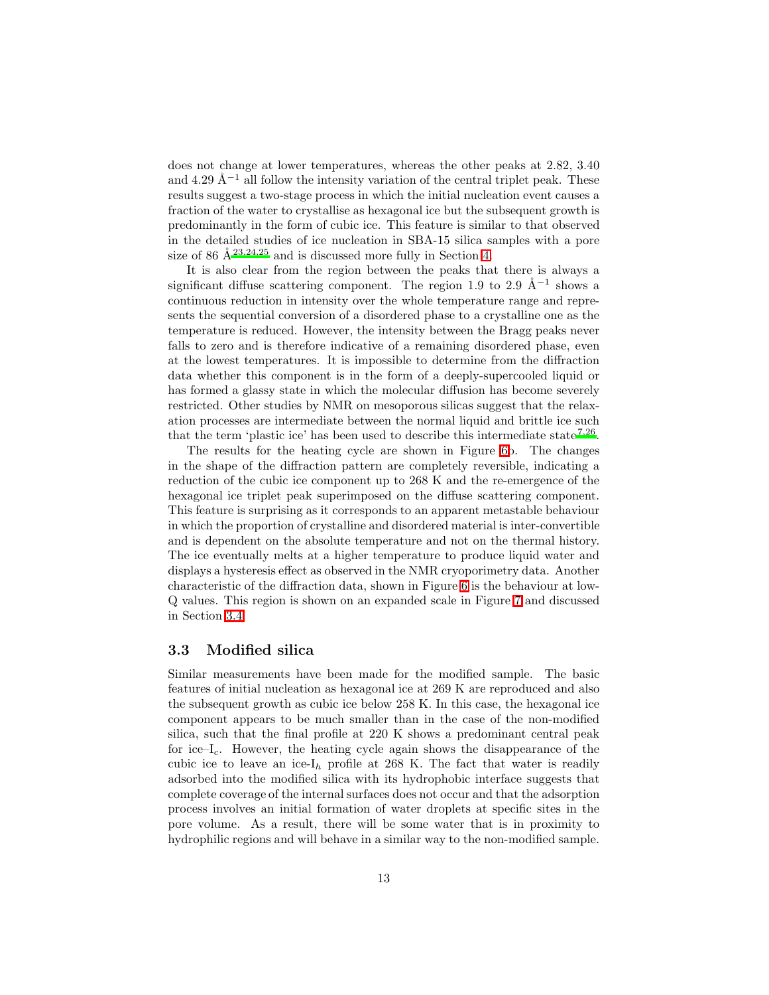does not change at lower temperatures, whereas the other peaks at 2.82, 3.40 and 4.29 Å<sup> $-1$ </sup> all follow the intensity variation of the central triplet peak. These results suggest a two-stage process in which the initial nucleation event causes a fraction of the water to crystallise as hexagonal ice but the subsequent growth is predominantly in the form of cubic ice. This feature is similar to that observed in the detailed studies of ice nucleation in SBA-15 silica samples with a pore size of 86 Å<sup>[23](#page-30-3)[,24](#page-30-4)[,25](#page-30-5)</sup> and is discussed more fully in Section [4.](#page-14-1)

It is also clear from the region between the peaks that there is always a significant diffuse scattering component. The region 1.9 to 2.9  $\AA^{-1}$  shows a continuous reduction in intensity over the whole temperature range and represents the sequential conversion of a disordered phase to a crystalline one as the temperature is reduced. However, the intensity between the Bragg peaks never falls to zero and is therefore indicative of a remaining disordered phase, even at the lowest temperatures. It is impossible to determine from the diffraction data whether this component is in the form of a deeply-supercooled liquid or has formed a glassy state in which the molecular diffusion has become severely restricted. Other studies by NMR on mesoporous silicas suggest that the relaxation processes are intermediate between the normal liquid and brittle ice such that the term 'plastic ice' has been used to describe this intermediate state  $7.26$  $7.26$ .

The results for the heating cycle are shown in Figure [6b](#page-11-0). The changes in the shape of the diffraction pattern are completely reversible, indicating a reduction of the cubic ice component up to 268 K and the re-emergence of the hexagonal ice triplet peak superimposed on the diffuse scattering component. This feature is surprising as it corresponds to an apparent metastable behaviour in which the proportion of crystalline and disordered material is inter-convertible and is dependent on the absolute temperature and not on the thermal history. The ice eventually melts at a higher temperature to produce liquid water and displays a hysteresis effect as observed in the NMR cryoporimetry data. Another characteristic of the diffraction data, shown in Figure [6](#page-11-0) is the behaviour at low-Q values. This region is shown on an expanded scale in Figure [7](#page-13-0) and discussed in Section [3.4.](#page-14-2)

#### <span id="page-12-0"></span>3.3 Modified silica

Similar measurements have been made for the modified sample. The basic features of initial nucleation as hexagonal ice at 269 K are reproduced and also the subsequent growth as cubic ice below 258 K. In this case, the hexagonal ice component appears to be much smaller than in the case of the non-modified silica, such that the final profile at 220 K shows a predominant central peak for ice–Ic. However, the heating cycle again shows the disappearance of the cubic ice to leave an ice- $I_h$  profile at 268 K. The fact that water is readily adsorbed into the modified silica with its hydrophobic interface suggests that complete coverage of the internal surfaces does not occur and that the adsorption process involves an initial formation of water droplets at specific sites in the pore volume. As a result, there will be some water that is in proximity to hydrophilic regions and will behave in a similar way to the non-modified sample.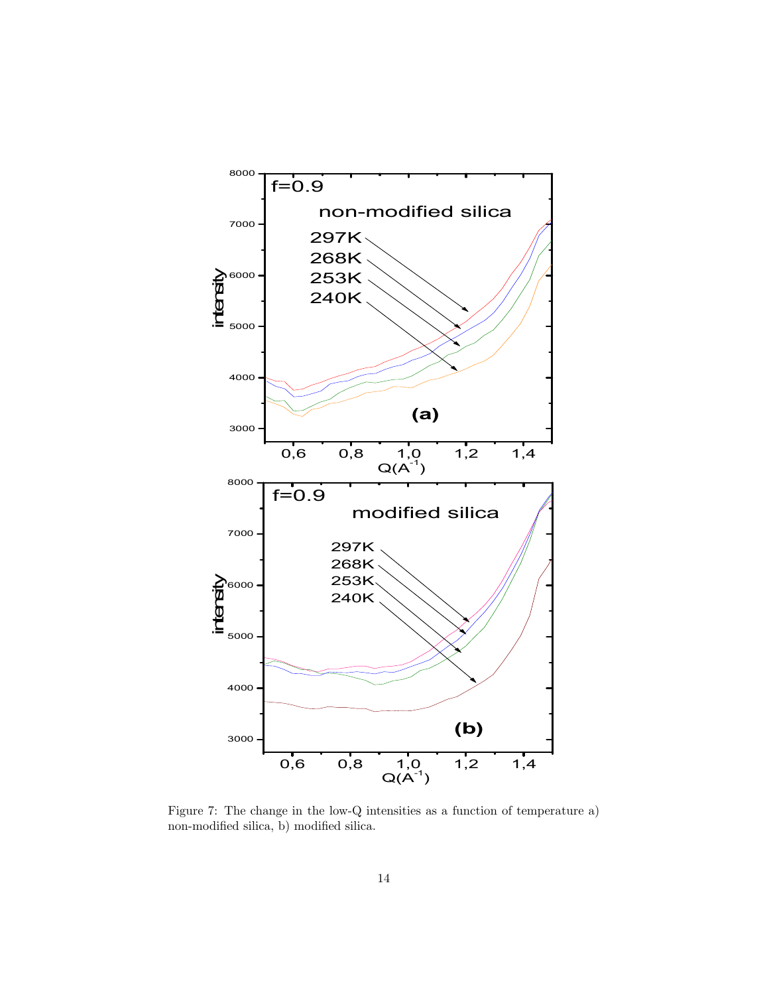

<span id="page-13-0"></span>Figure 7: The change in the low-Q intensities as a function of temperature a) non-modified silica, b) modified silica.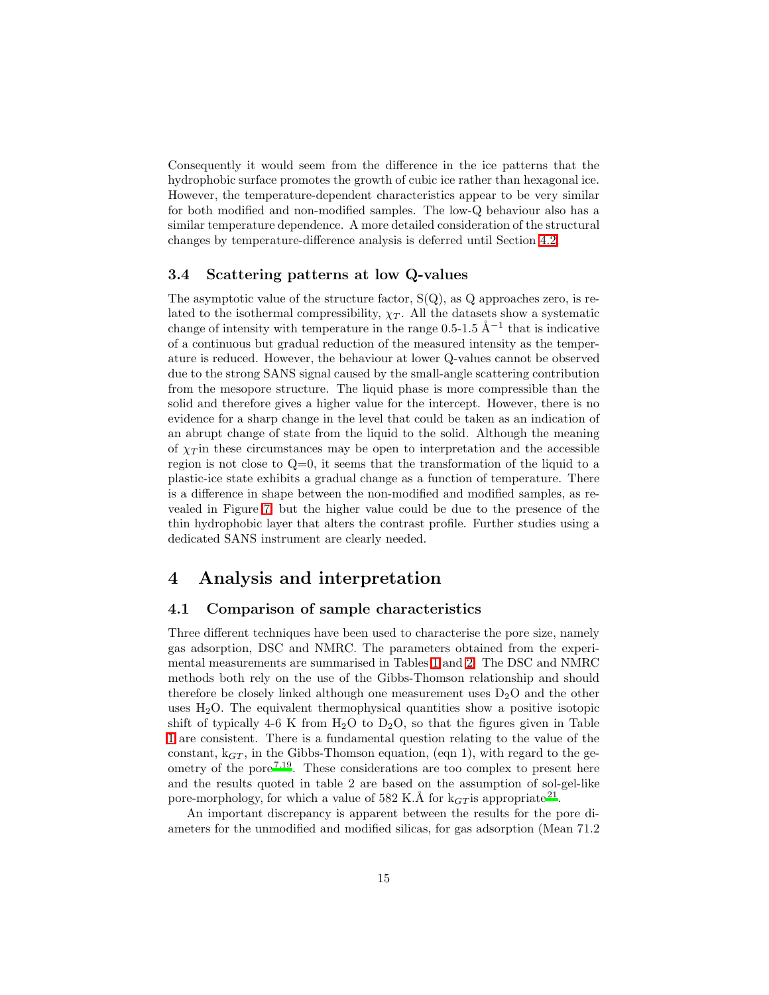Consequently it would seem from the difference in the ice patterns that the hydrophobic surface promotes the growth of cubic ice rather than hexagonal ice. However, the temperature-dependent characteristics appear to be very similar for both modified and non-modified samples. The low-Q behaviour also has a similar temperature dependence. A more detailed consideration of the structural changes by temperature-difference analysis is deferred until Section [4.2.](#page-15-0)

#### <span id="page-14-2"></span>3.4 Scattering patterns at low Q-values

The asymptotic value of the structure factor, S(Q), as Q approaches zero, is related to the isothermal compressibility,  $\chi_T$ . All the datasets show a systematic change of intensity with temperature in the range 0.5-1.5 Å<sup>-1</sup> that is indicative of a continuous but gradual reduction of the measured intensity as the temperature is reduced. However, the behaviour at lower Q-values cannot be observed due to the strong SANS signal caused by the small-angle scattering contribution from the mesopore structure. The liquid phase is more compressible than the solid and therefore gives a higher value for the intercept. However, there is no evidence for a sharp change in the level that could be taken as an indication of an abrupt change of state from the liquid to the solid. Although the meaning of  $\chi_T$  in these circumstances may be open to interpretation and the accessible region is not close to  $Q=0$ , it seems that the transformation of the liquid to a plastic-ice state exhibits a gradual change as a function of temperature. There is a difference in shape between the non-modified and modified samples, as revealed in Figure [7,](#page-13-0) but the higher value could be due to the presence of the thin hydrophobic layer that alters the contrast profile. Further studies using a dedicated SANS instrument are clearly needed.

### <span id="page-14-1"></span>4 Analysis and interpretation

#### <span id="page-14-0"></span>4.1 Comparison of sample characteristics

Three different techniques have been used to characterise the pore size, namely gas adsorption, DSC and NMRC. The parameters obtained from the experimental measurements are summarised in Tables [1](#page-5-0) and [2.](#page-8-0) The DSC and NMRC methods both rely on the use of the Gibbs-Thomson relationship and should therefore be closely linked although one measurement uses  $D_2O$  and the other uses  $H_2O$ . The equivalent thermophysical quantities show a positive isotopic shift of typically 4-6 K from  $H_2O$  to  $D_2O$ , so that the figures given in Table [1](#page-5-0) are consistent. There is a fundamental question relating to the value of the constant,  $k_{GT}$ , in the Gibbs-Thomson equation, (eqn 1), with regard to the ge-ometry of the pore<sup>[7](#page-29-6)[,19](#page-29-18)</sup>. These considerations are too complex to present here and the results quoted in table 2 are based on the assumption of sol-gel-like pore-morphology, for which a value of 582 K.Å for  $k_{GT}$  is appropriate<sup>[21](#page-30-1)</sup>.

An important discrepancy is apparent between the results for the pore diameters for the unmodified and modified silicas, for gas adsorption (Mean 71.2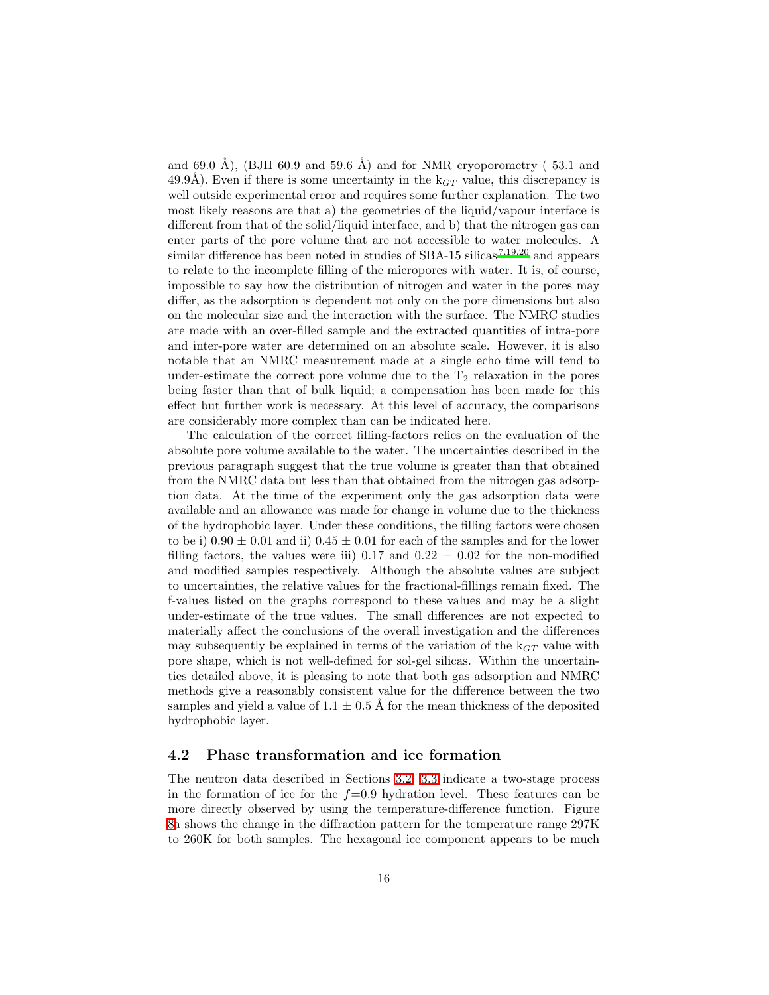and 69.0 Å), (BJH 60.9 and 59.6 Å) and for NMR cryoporometry (53.1 and 49.9Å). Even if there is some uncertainty in the  $k_{GT}$  value, this discrepancy is well outside experimental error and requires some further explanation. The two most likely reasons are that a) the geometries of the liquid/vapour interface is different from that of the solid/liquid interface, and b) that the nitrogen gas can enter parts of the pore volume that are not accessible to water molecules. A similar difference has been noted in studies of SBA-15 silicas<sup>[7](#page-29-6)[,19](#page-29-18)[,20](#page-30-0)</sup> and appears to relate to the incomplete filling of the micropores with water. It is, of course, impossible to say how the distribution of nitrogen and water in the pores may differ, as the adsorption is dependent not only on the pore dimensions but also on the molecular size and the interaction with the surface. The NMRC studies are made with an over-filled sample and the extracted quantities of intra-pore and inter-pore water are determined on an absolute scale. However, it is also notable that an NMRC measurement made at a single echo time will tend to under-estimate the correct pore volume due to the  $T_2$  relaxation in the pores being faster than that of bulk liquid; a compensation has been made for this effect but further work is necessary. At this level of accuracy, the comparisons are considerably more complex than can be indicated here.

The calculation of the correct filling-factors relies on the evaluation of the absolute pore volume available to the water. The uncertainties described in the previous paragraph suggest that the true volume is greater than that obtained from the NMRC data but less than that obtained from the nitrogen gas adsorption data. At the time of the experiment only the gas adsorption data were available and an allowance was made for change in volume due to the thickness of the hydrophobic layer. Under these conditions, the filling factors were chosen to be i)  $0.90 \pm 0.01$  and ii)  $0.45 \pm 0.01$  for each of the samples and for the lower filling factors, the values were iii) 0.17 and  $0.22 \pm 0.02$  for the non-modified and modified samples respectively. Although the absolute values are subject to uncertainties, the relative values for the fractional-fillings remain fixed. The f-values listed on the graphs correspond to these values and may be a slight under-estimate of the true values. The small differences are not expected to materially affect the conclusions of the overall investigation and the differences may subsequently be explained in terms of the variation of the  $k_{GT}$  value with pore shape, which is not well-defined for sol-gel silicas. Within the uncertainties detailed above, it is pleasing to note that both gas adsorption and NMRC methods give a reasonably consistent value for the difference between the two samples and yield a value of  $1.1 \pm 0.5$  Å for the mean thickness of the deposited hydrophobic layer.

#### <span id="page-15-0"></span>4.2 Phase transformation and ice formation

The neutron data described in Sections [3.2,](#page-9-2) [3.3](#page-12-0) indicate a two-stage process in the formation of ice for the  $f=0.9$  hydration level. These features can be more directly observed by using the temperature-difference function. Figure [8a](#page-16-0) shows the change in the diffraction pattern for the temperature range 297K to 260K for both samples. The hexagonal ice component appears to be much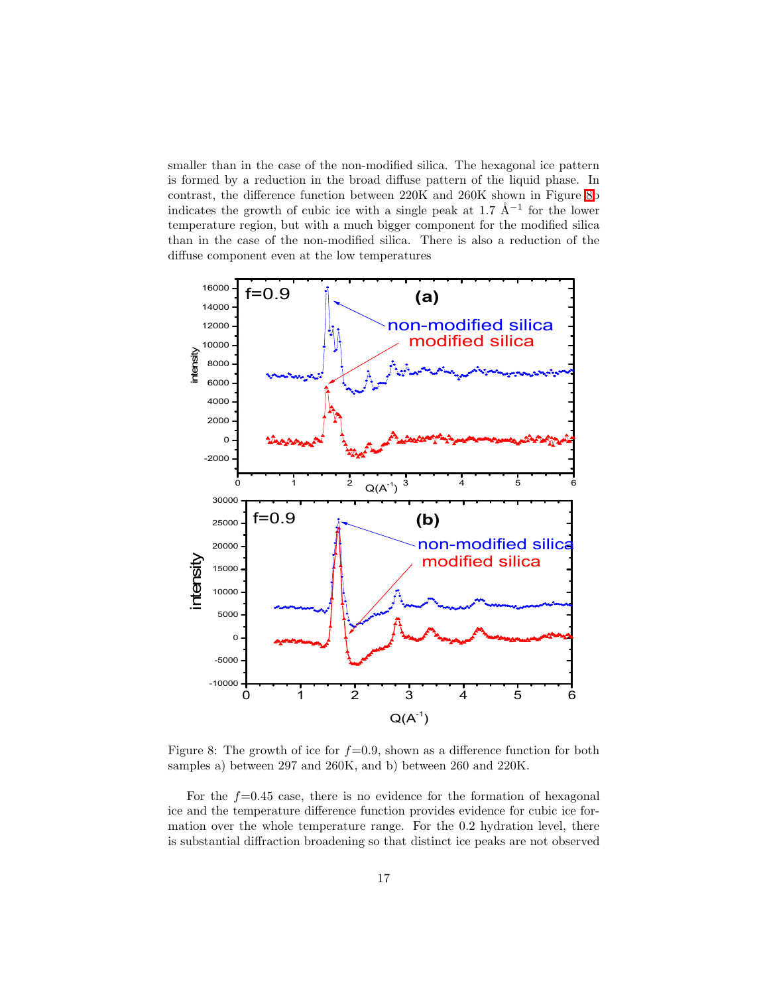smaller than in the case of the non-modified silica. The hexagonal ice pattern is formed by a reduction in the broad diffuse pattern of the liquid phase. In contrast, the difference function between 220K and 260K shown in Figure [8b](#page-16-0) indicates the growth of cubic ice with a single peak at 1.7  $\AA^{-1}$  for the lower temperature region, but with a much bigger component for the modified silica than in the case of the non-modified silica. There is also a reduction of the diffuse component even at the low temperatures



<span id="page-16-0"></span>Figure 8: The growth of ice for  $f=0.9$ , shown as a difference function for both samples a) between 297 and 260K, and b) between 260 and 220K.

For the  $f=0.45$  case, there is no evidence for the formation of hexagonal ice and the temperature difference function provides evidence for cubic ice formation over the whole temperature range. For the 0.2 hydration level, there is substantial diffraction broadening so that distinct ice peaks are not observed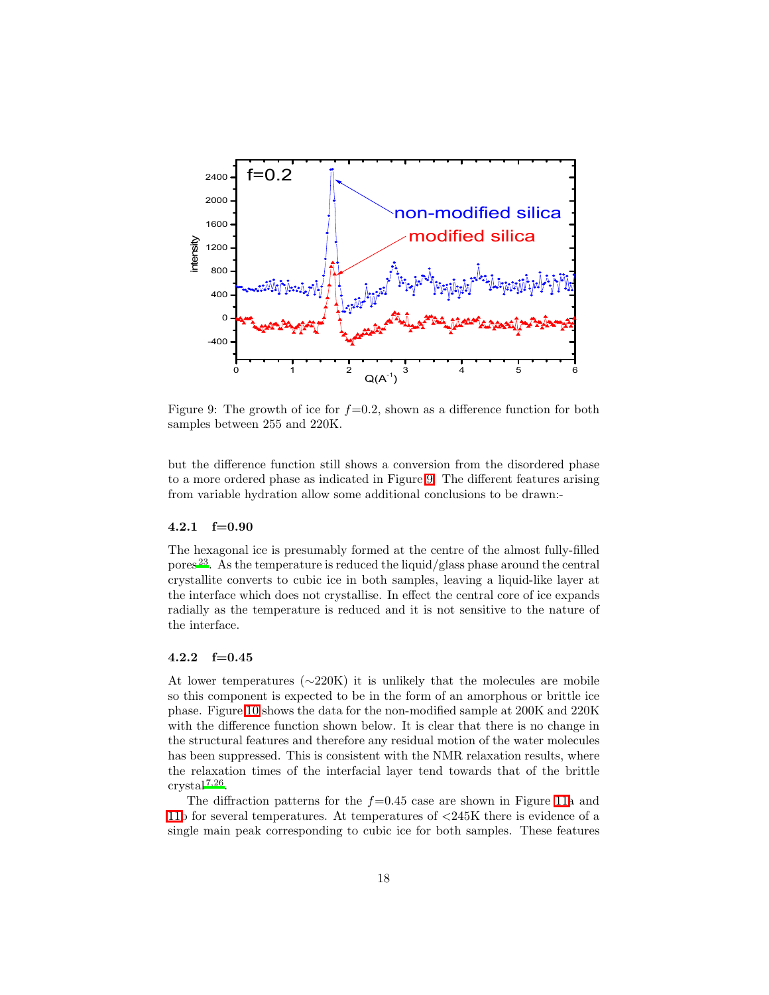

<span id="page-17-0"></span>Figure 9: The growth of ice for  $f=0.2$ , shown as a difference function for both samples between 255 and 220K.

but the difference function still shows a conversion from the disordered phase to a more ordered phase as indicated in Figure [9.](#page-17-0) The different features arising from variable hydration allow some additional conclusions to be drawn:-

#### 4.2.1  $f=0.90$

The hexagonal ice is presumably formed at the centre of the almost fully-filled pores<sup>[23](#page-30-3)</sup>. As the temperature is reduced the liquid/glass phase around the central crystallite converts to cubic ice in both samples, leaving a liquid-like layer at the interface which does not crystallise. In effect the central core of ice expands radially as the temperature is reduced and it is not sensitive to the nature of the interface.

### 4.2.2 f=0.45

At lower temperatures  $(\sim 220K)$  it is unlikely that the molecules are mobile so this component is expected to be in the form of an amorphous or brittle ice phase. Figure [10](#page-18-0) shows the data for the non-modified sample at 200K and 220K with the difference function shown below. It is clear that there is no change in the structural features and therefore any residual motion of the water molecules has been suppressed. This is consistent with the NMR relaxation results, where the relaxation times of the interfacial layer tend towards that of the brittle  $crystal<sup>7,26</sup>$  $crystal<sup>7,26</sup>$  $crystal<sup>7,26</sup>$  $crystal<sup>7,26</sup>$ .

The diffraction patterns for the  $f=0.45$  case are shown in Figure [11a](#page-19-0) and [11b](#page-19-0) for several temperatures. At temperatures of <245K there is evidence of a single main peak corresponding to cubic ice for both samples. These features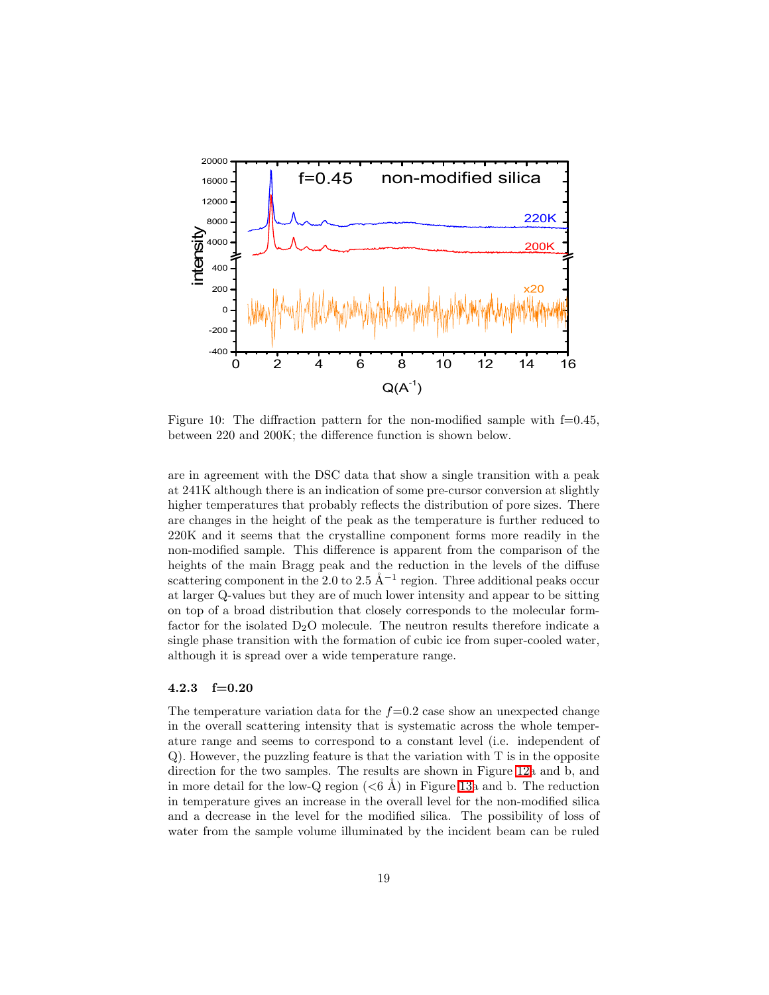

<span id="page-18-0"></span>Figure 10: The diffraction pattern for the non-modified sample with  $f=0.45$ , between 220 and 200K; the difference function is shown below.

are in agreement with the DSC data that show a single transition with a peak at 241K although there is an indication of some pre-cursor conversion at slightly higher temperatures that probably reflects the distribution of pore sizes. There are changes in the height of the peak as the temperature is further reduced to 220K and it seems that the crystalline component forms more readily in the non-modified sample. This difference is apparent from the comparison of the heights of the main Bragg peak and the reduction in the levels of the diffuse scattering component in the 2.0 to 2.5 Å<sup>-1</sup> region. Three additional peaks occur at larger Q-values but they are of much lower intensity and appear to be sitting on top of a broad distribution that closely corresponds to the molecular formfactor for the isolated  $D_2O$  molecule. The neutron results therefore indicate a single phase transition with the formation of cubic ice from super-cooled water, although it is spread over a wide temperature range.

#### 4.2.3  $f=0.20$

The temperature variation data for the  $f=0.2$  case show an unexpected change in the overall scattering intensity that is systematic across the whole temperature range and seems to correspond to a constant level (i.e. independent of Q). However, the puzzling feature is that the variation with T is in the opposite direction for the two samples. The results are shown in Figure [12a](#page-20-0) and b, and in more detail for the low-Q region  $( $6 \text{ Å}$ )$  in Figure [13a](#page-22-0) and b. The reduction in temperature gives an increase in the overall level for the non-modified silica and a decrease in the level for the modified silica. The possibility of loss of water from the sample volume illuminated by the incident beam can be ruled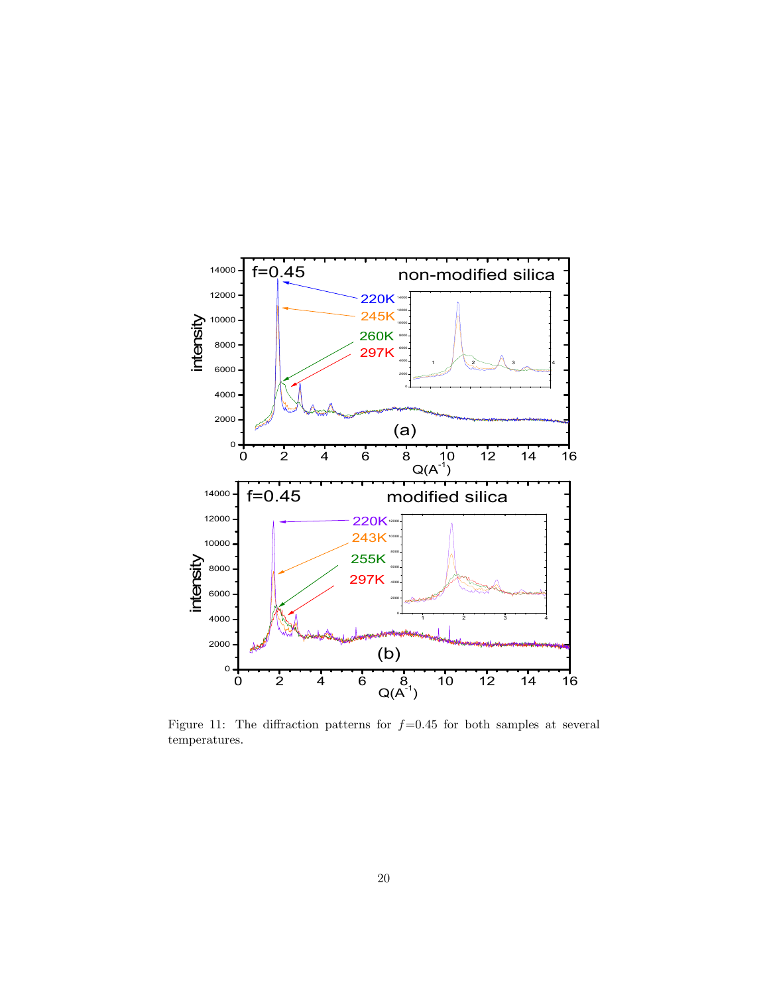

<span id="page-19-0"></span>Figure 11: The diffraction patterns for  $f=0.45$  for both samples at several temperatures.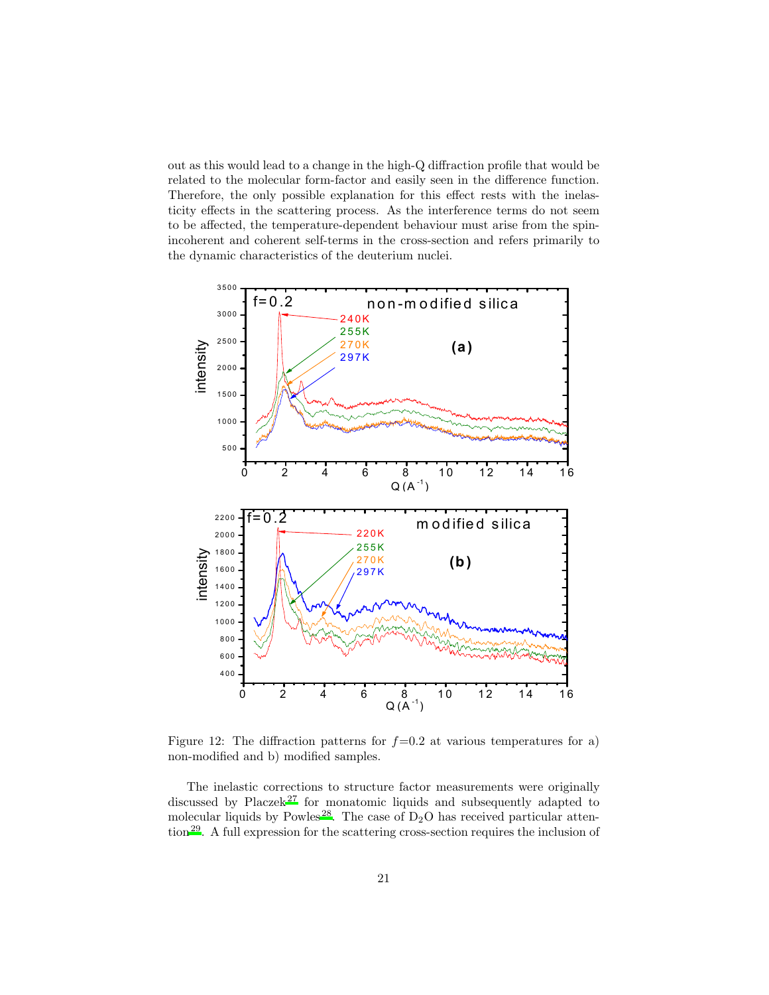out as this would lead to a change in the high-Q diffraction profile that would be related to the molecular form-factor and easily seen in the difference function. Therefore, the only possible explanation for this effect rests with the inelasticity effects in the scattering process. As the interference terms do not seem to be affected, the temperature-dependent behaviour must arise from the spinincoherent and coherent self-terms in the cross-section and refers primarily to the dynamic characteristics of the deuterium nuclei.



<span id="page-20-0"></span>Figure 12: The diffraction patterns for  $f=0.2$  at various temperatures for a) non-modified and b) modified samples.

The inelastic corrections to structure factor measurements were originally discussed by Placzek<sup>[27](#page-30-7)</sup> for monatomic liquids and subsequently adapted to molecular liquids by Powles<sup>[28](#page-30-8)</sup>. The case of  $D_2O$  has received particular attention[29](#page-30-9). A full expression for the scattering cross-section requires the inclusion of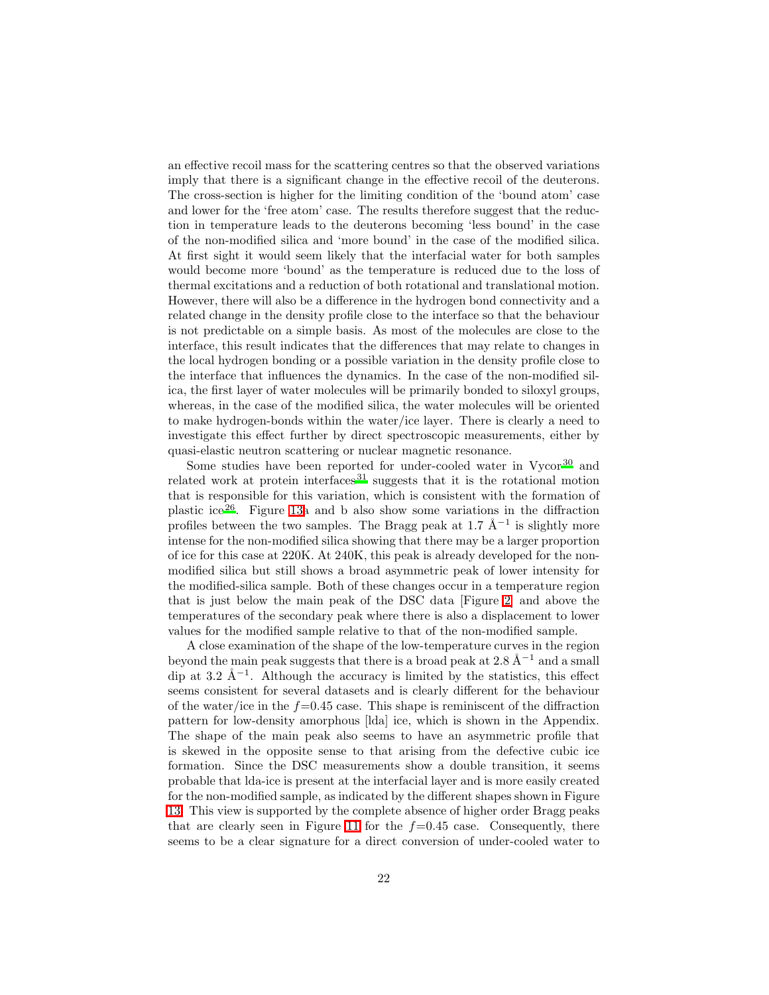an effective recoil mass for the scattering centres so that the observed variations imply that there is a significant change in the effective recoil of the deuterons. The cross-section is higher for the limiting condition of the 'bound atom' case and lower for the 'free atom' case. The results therefore suggest that the reduction in temperature leads to the deuterons becoming 'less bound' in the case of the non-modified silica and 'more bound' in the case of the modified silica. At first sight it would seem likely that the interfacial water for both samples would become more 'bound' as the temperature is reduced due to the loss of thermal excitations and a reduction of both rotational and translational motion. However, there will also be a difference in the hydrogen bond connectivity and a related change in the density profile close to the interface so that the behaviour is not predictable on a simple basis. As most of the molecules are close to the interface, this result indicates that the differences that may relate to changes in the local hydrogen bonding or a possible variation in the density profile close to the interface that influences the dynamics. In the case of the non-modified silica, the first layer of water molecules will be primarily bonded to siloxyl groups, whereas, in the case of the modified silica, the water molecules will be oriented to make hydrogen-bonds within the water/ice layer. There is clearly a need to investigate this effect further by direct spectroscopic measurements, either by quasi-elastic neutron scattering or nuclear magnetic resonance.

Some studies have been reported for under-cooled water in Vycor<sup>[30](#page-30-10)</sup> and related work at protein interfaces<sup>[31](#page-30-11)</sup> suggests that it is the rotational motion that is responsible for this variation, which is consistent with the formation of plastic ice<sup>[26](#page-30-6)</sup>. Figure [13a](#page-22-0) and b also show some variations in the diffraction profiles between the two samples. The Bragg peak at  $1.7 \text{ Å}^{-1}$  is slightly more intense for the non-modified silica showing that there may be a larger proportion of ice for this case at 220K. At 240K, this peak is already developed for the nonmodified silica but still shows a broad asymmetric peak of lower intensity for the modified-silica sample. Both of these changes occur in a temperature region that is just below the main peak of the DSC data [Figure [2\]](#page-6-0) and above the temperatures of the secondary peak where there is also a displacement to lower values for the modified sample relative to that of the non-modified sample.

A close examination of the shape of the low-temperature curves in the region beyond the main peak suggests that there is a broad peak at  $2.8 \text{ Å}^{-1}$  and a small dip at 3.2 Å<sup>-1</sup>. Although the accuracy is limited by the statistics, this effect seems consistent for several datasets and is clearly different for the behaviour of the water/ice in the  $f=0.45$  case. This shape is reminiscent of the diffraction pattern for low-density amorphous [lda] ice, which is shown in the Appendix. The shape of the main peak also seems to have an asymmetric profile that is skewed in the opposite sense to that arising from the defective cubic ice formation. Since the DSC measurements show a double transition, it seems probable that lda-ice is present at the interfacial layer and is more easily created for the non-modified sample, as indicated by the different shapes shown in Figure [13.](#page-22-0) This view is supported by the complete absence of higher order Bragg peaks that are clearly seen in Figure [11](#page-19-0) for the  $f=0.45$  case. Consequently, there seems to be a clear signature for a direct conversion of under-cooled water to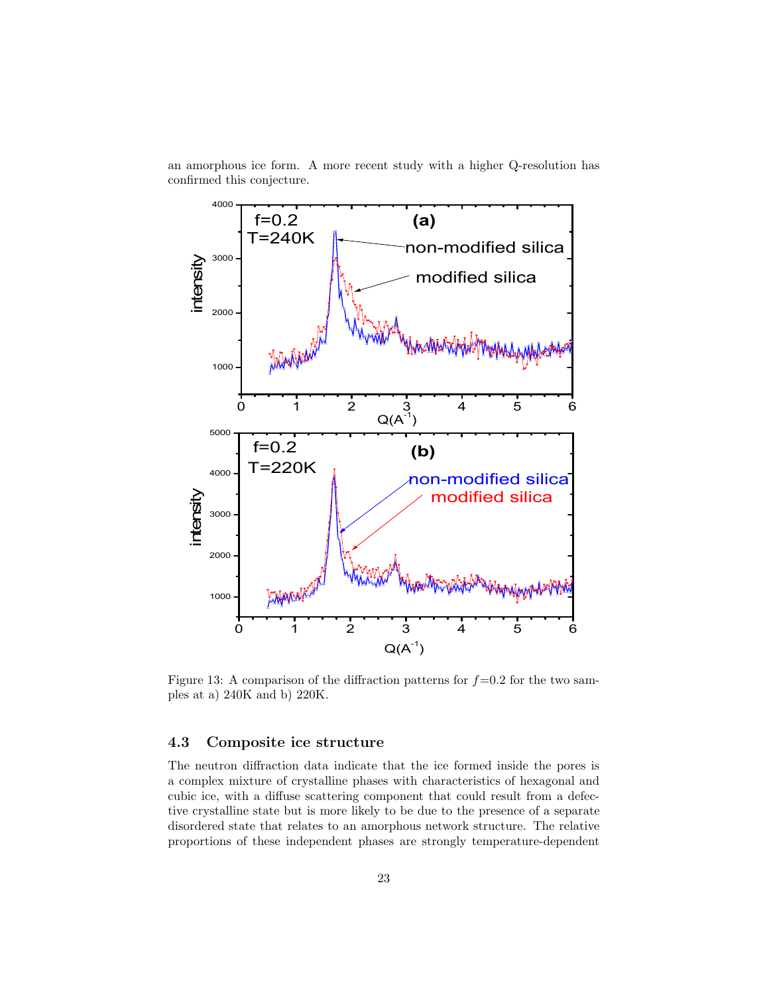an amorphous ice form. A more recent study with a higher Q-resolution has confirmed this conjecture.



<span id="page-22-0"></span>Figure 13: A comparison of the diffraction patterns for  $f=0.2$  for the two samples at a) 240K and b) 220K.

#### 4.3 Composite ice structure

The neutron diffraction data indicate that the ice formed inside the pores is a complex mixture of crystalline phases with characteristics of hexagonal and cubic ice, with a diffuse scattering component that could result from a defective crystalline state but is more likely to be due to the presence of a separate disordered state that relates to an amorphous network structure. The relative proportions of these independent phases are strongly temperature-dependent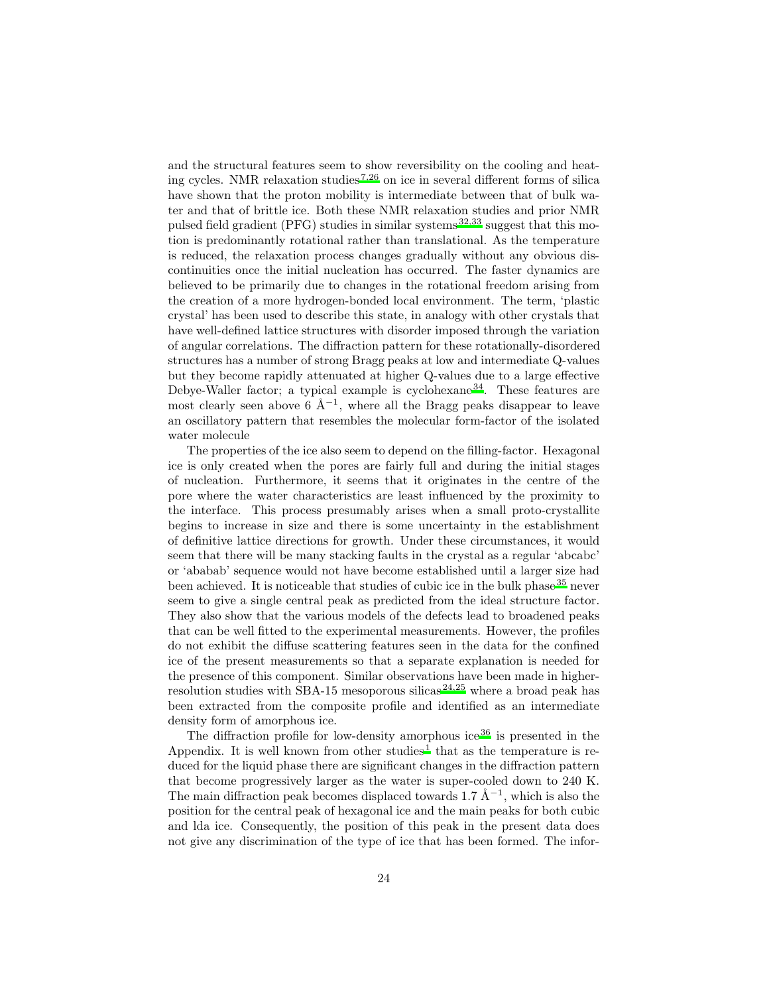and the structural features seem to show reversibility on the cooling and heat-ing cycles. NMR relaxation studies<sup>[7](#page-29-6)[,26](#page-30-6)</sup> on ice in several different forms of silica have shown that the proton mobility is intermediate between that of bulk water and that of brittle ice. Both these NMR relaxation studies and prior NMR pulsed field gradient (PFG) studies in similar systems<sup>[32](#page-30-12)[,33](#page-30-13)</sup> suggest that this motion is predominantly rotational rather than translational. As the temperature is reduced, the relaxation process changes gradually without any obvious discontinuities once the initial nucleation has occurred. The faster dynamics are believed to be primarily due to changes in the rotational freedom arising from the creation of a more hydrogen-bonded local environment. The term, 'plastic crystal' has been used to describe this state, in analogy with other crystals that have well-defined lattice structures with disorder imposed through the variation of angular correlations. The diffraction pattern for these rotationally-disordered structures has a number of strong Bragg peaks at low and intermediate Q-values but they become rapidly attenuated at higher Q-values due to a large effective Debye-Waller factor; a typical example is cyclohexane<sup>[34](#page-30-14)</sup>. These features are most clearly seen above  $6\text{ Å}^{-1}$ , where all the Bragg peaks disappear to leave an oscillatory pattern that resembles the molecular form-factor of the isolated water molecule

The properties of the ice also seem to depend on the filling-factor. Hexagonal ice is only created when the pores are fairly full and during the initial stages of nucleation. Furthermore, it seems that it originates in the centre of the pore where the water characteristics are least influenced by the proximity to the interface. This process presumably arises when a small proto-crystallite begins to increase in size and there is some uncertainty in the establishment of definitive lattice directions for growth. Under these circumstances, it would seem that there will be many stacking faults in the crystal as a regular 'abcabc' or 'ababab' sequence would not have become established until a larger size had been achieved. It is noticeable that studies of cubic ice in the bulk phase<sup>[35](#page-30-15)</sup> never seem to give a single central peak as predicted from the ideal structure factor. They also show that the various models of the defects lead to broadened peaks that can be well fitted to the experimental measurements. However, the profiles do not exhibit the diffuse scattering features seen in the data for the confined ice of the present measurements so that a separate explanation is needed for the presence of this component. Similar observations have been made in higher-resolution studies with SBA-15 mesoporous silicas<sup>[24](#page-30-4)[,25](#page-30-5)</sup> where a broad peak has been extracted from the composite profile and identified as an intermediate density form of amorphous ice.

The diffraction profile for low-density amorphous ice<sup>[36](#page-30-16)</sup> is presented in the Appendix. It is well known from other studies<sup>[1](#page-29-0)</sup> that as the temperature is reduced for the liquid phase there are significant changes in the diffraction pattern that become progressively larger as the water is super-cooled down to 240 K. The main diffraction peak becomes displaced towards 1.7 Å<sup>-1</sup>, which is also the position for the central peak of hexagonal ice and the main peaks for both cubic and lda ice. Consequently, the position of this peak in the present data does not give any discrimination of the type of ice that has been formed. The infor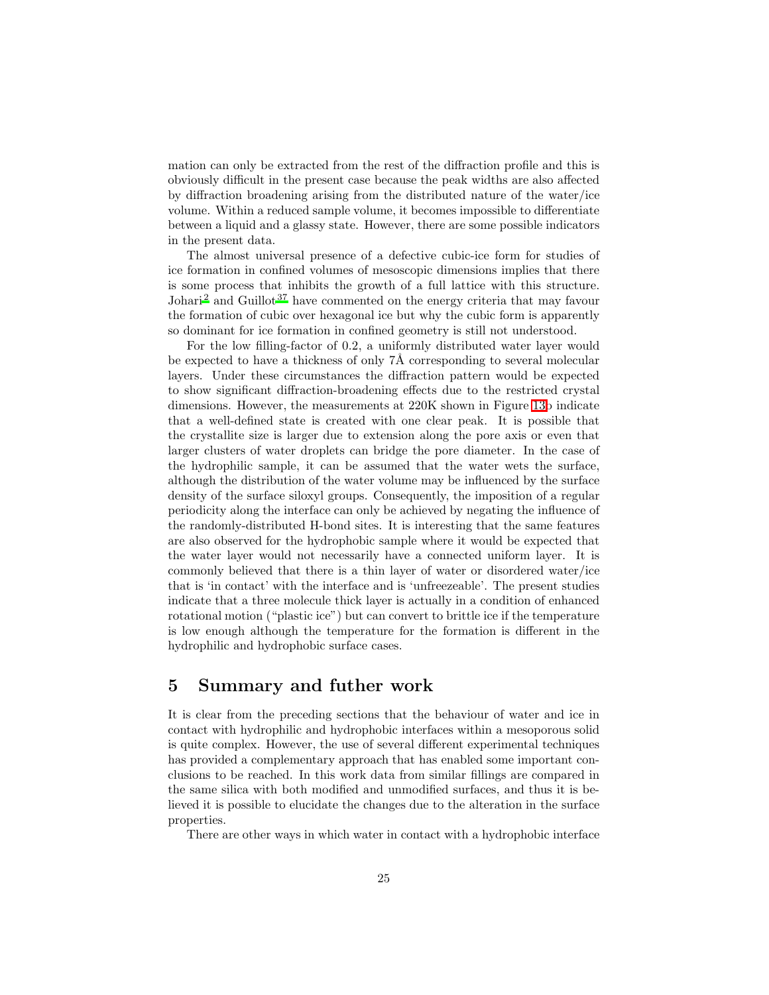mation can only be extracted from the rest of the diffraction profile and this is obviously difficult in the present case because the peak widths are also affected by diffraction broadening arising from the distributed nature of the water/ice volume. Within a reduced sample volume, it becomes impossible to differentiate between a liquid and a glassy state. However, there are some possible indicators in the present data.

The almost universal presence of a defective cubic-ice form for studies of ice formation in confined volumes of mesoscopic dimensions implies that there is some process that inhibits the growth of a full lattice with this structure. Johari<sup>[2](#page-29-1)</sup> and Guillot<sup>[37](#page-30-17)</sup> have commented on the energy criteria that may favour the formation of cubic over hexagonal ice but why the cubic form is apparently so dominant for ice formation in confined geometry is still not understood.

For the low filling-factor of 0.2, a uniformly distributed water layer would be expected to have a thickness of only 7Å corresponding to several molecular layers. Under these circumstances the diffraction pattern would be expected to show significant diffraction-broadening effects due to the restricted crystal dimensions. However, the measurements at 220K shown in Figure [13b](#page-22-0) indicate that a well-defined state is created with one clear peak. It is possible that the crystallite size is larger due to extension along the pore axis or even that larger clusters of water droplets can bridge the pore diameter. In the case of the hydrophilic sample, it can be assumed that the water wets the surface, although the distribution of the water volume may be influenced by the surface density of the surface siloxyl groups. Consequently, the imposition of a regular periodicity along the interface can only be achieved by negating the influence of the randomly-distributed H-bond sites. It is interesting that the same features are also observed for the hydrophobic sample where it would be expected that the water layer would not necessarily have a connected uniform layer. It is commonly believed that there is a thin layer of water or disordered water/ice that is 'in contact' with the interface and is 'unfreezeable'. The present studies indicate that a three molecule thick layer is actually in a condition of enhanced rotational motion ("plastic ice") but can convert to brittle ice if the temperature is low enough although the temperature for the formation is different in the hydrophilic and hydrophobic surface cases.

### 5 Summary and futher work

It is clear from the preceding sections that the behaviour of water and ice in contact with hydrophilic and hydrophobic interfaces within a mesoporous solid is quite complex. However, the use of several different experimental techniques has provided a complementary approach that has enabled some important conclusions to be reached. In this work data from similar fillings are compared in the same silica with both modified and unmodified surfaces, and thus it is believed it is possible to elucidate the changes due to the alteration in the surface properties.

There are other ways in which water in contact with a hydrophobic interface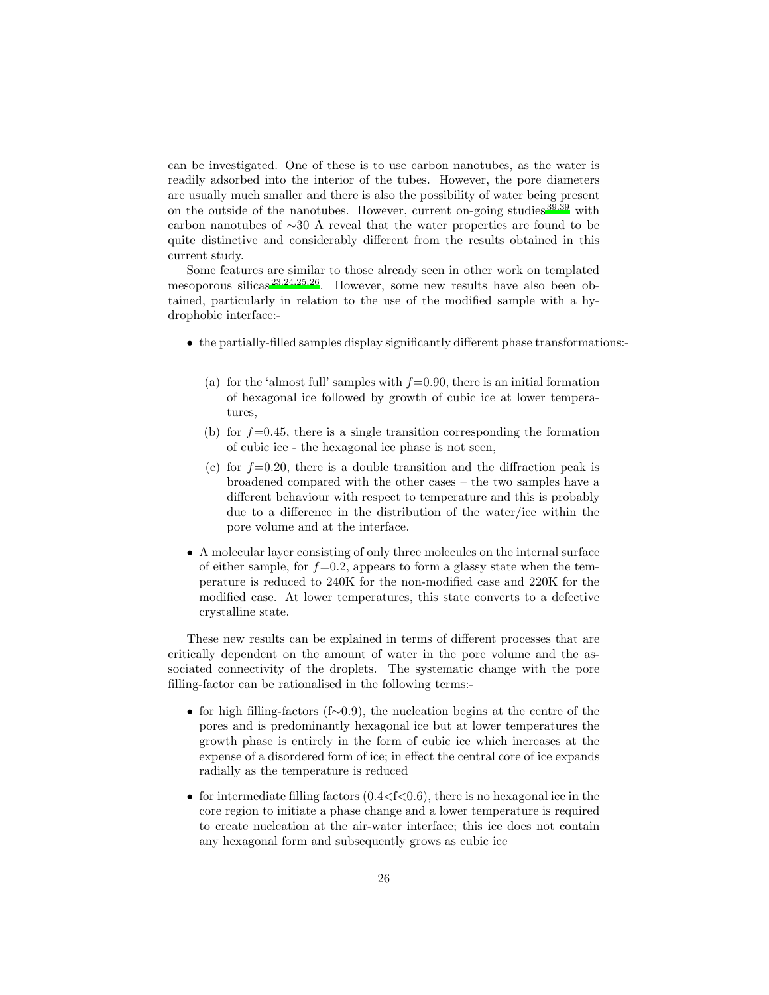can be investigated. One of these is to use carbon nanotubes, as the water is readily adsorbed into the interior of the tubes. However, the pore diameters are usually much smaller and there is also the possibility of water being present on the outside of the nanotubes. However, current on-going studies  $39,39$  with carbon nanotubes of  $\sim$ 30 Å reveal that the water properties are found to be quite distinctive and considerably different from the results obtained in this current study.

Some features are similar to those already seen in other work on templated mesoporous silicas [23](#page-30-3)[,24](#page-30-4)[,25](#page-30-5)[,26](#page-30-6). However, some new results have also been obtained, particularly in relation to the use of the modified sample with a hydrophobic interface:-

- the partially-filled samples display significantly different phase transformations:-
	- (a) for the 'almost full' samples with  $f=0.90$ , there is an initial formation of hexagonal ice followed by growth of cubic ice at lower temperatures,
	- (b) for  $f=0.45$ , there is a single transition corresponding the formation of cubic ice - the hexagonal ice phase is not seen,
	- (c) for  $f=0.20$ , there is a double transition and the diffraction peak is broadened compared with the other cases – the two samples have a different behaviour with respect to temperature and this is probably due to a difference in the distribution of the water/ice within the pore volume and at the interface.
- A molecular layer consisting of only three molecules on the internal surface of either sample, for  $f=0.2$ , appears to form a glassy state when the temperature is reduced to 240K for the non-modified case and 220K for the modified case. At lower temperatures, this state converts to a defective crystalline state.

These new results can be explained in terms of different processes that are critically dependent on the amount of water in the pore volume and the associated connectivity of the droplets. The systematic change with the pore filling-factor can be rationalised in the following terms:-

- for high filling-factors (f∼0.9), the nucleation begins at the centre of the pores and is predominantly hexagonal ice but at lower temperatures the growth phase is entirely in the form of cubic ice which increases at the expense of a disordered form of ice; in effect the central core of ice expands radially as the temperature is reduced
- for intermediate filling factors  $(0.4\leq t\leq 0.6)$ , there is no hexagonal ice in the core region to initiate a phase change and a lower temperature is required to create nucleation at the air-water interface; this ice does not contain any hexagonal form and subsequently grows as cubic ice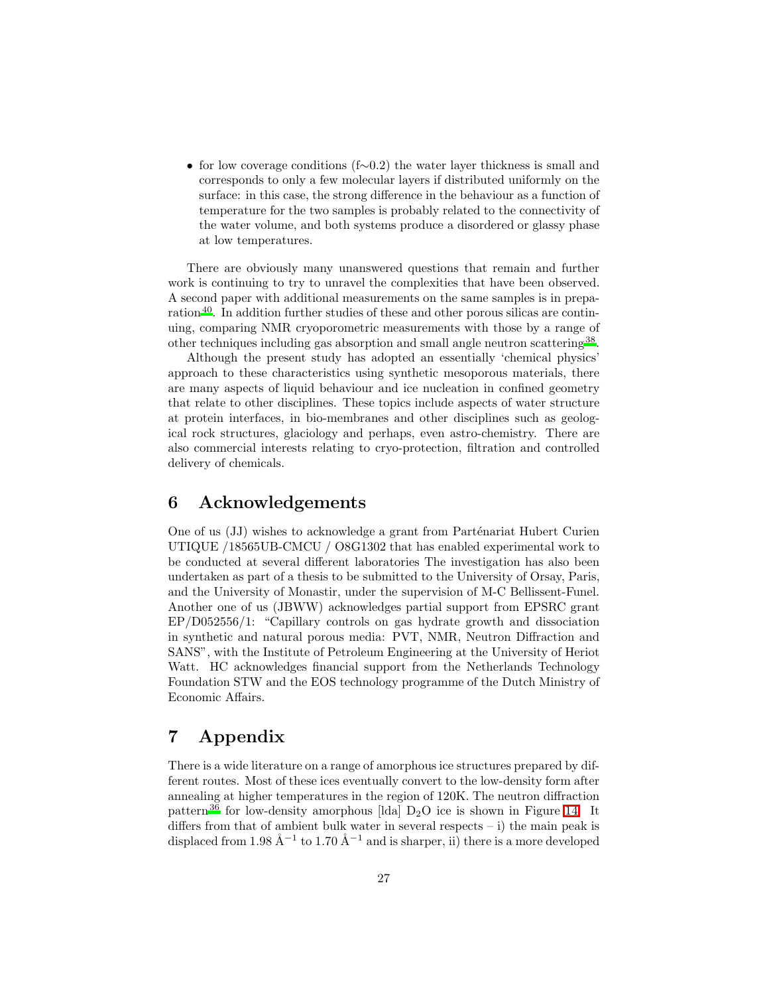• for low coverage conditions (f∼0.2) the water layer thickness is small and corresponds to only a few molecular layers if distributed uniformly on the surface: in this case, the strong difference in the behaviour as a function of temperature for the two samples is probably related to the connectivity of the water volume, and both systems produce a disordered or glassy phase at low temperatures.

There are obviously many unanswered questions that remain and further work is continuing to try to unravel the complexities that have been observed. A second paper with additional measurements on the same samples is in prepa-ration<sup>[40](#page-31-0)</sup>. In addition further studies of these and other porous silicas are continuing, comparing NMR cryoporometric measurements with those by a range of other techniques including gas absorption and small angle neutron scattering<sup>[38](#page-30-19)</sup>.

Although the present study has adopted an essentially 'chemical physics' approach to these characteristics using synthetic mesoporous materials, there are many aspects of liquid behaviour and ice nucleation in confined geometry that relate to other disciplines. These topics include aspects of water structure at protein interfaces, in bio-membranes and other disciplines such as geological rock structures, glaciology and perhaps, even astro-chemistry. There are also commercial interests relating to cryo-protection, filtration and controlled delivery of chemicals.

### 6 Acknowledgements

One of us (JJ) wishes to acknowledge a grant from Parténariat Hubert Curien UTIQUE /18565UB-CMCU / O8G1302 that has enabled experimental work to be conducted at several different laboratories The investigation has also been undertaken as part of a thesis to be submitted to the University of Orsay, Paris, and the University of Monastir, under the supervision of M-C Bellissent-Funel. Another one of us (JBWW) acknowledges partial support from EPSRC grant EP/D052556/1: "Capillary controls on gas hydrate growth and dissociation in synthetic and natural porous media: PVT, NMR, Neutron Diffraction and SANS", with the Institute of Petroleum Engineering at the University of Heriot Watt. HC acknowledges financial support from the Netherlands Technology Foundation STW and the EOS technology programme of the Dutch Ministry of Economic Affairs.

## 7 Appendix

There is a wide literature on a range of amorphous ice structures prepared by different routes. Most of these ices eventually convert to the low-density form after annealing at higher temperatures in the region of 120K. The neutron diffraction pattern<sup>[36](#page-30-16)</sup> for low-density amorphous [lda]  $D_2O$  ice is shown in Figure [14.](#page-27-0) It differs from that of ambient bulk water in several respects  $-$  i) the main peak is displaced from 1.98 Å<sup>-1</sup> to 1.70 Å<sup>-1</sup> and is sharper, ii) there is a more developed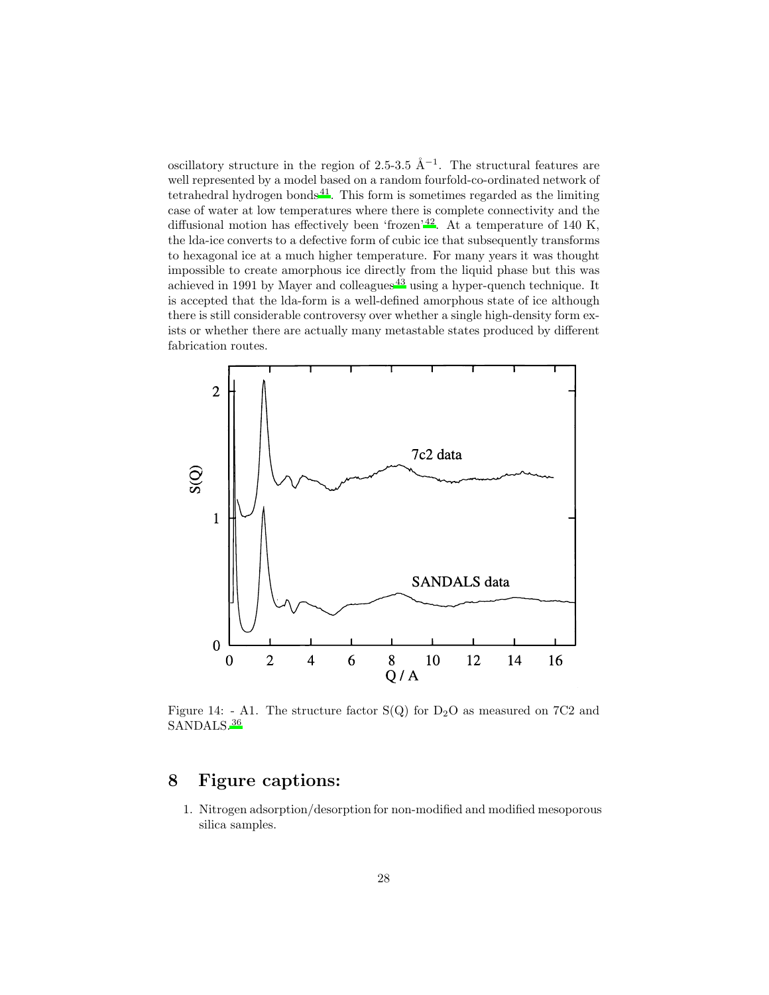oscillatory structure in the region of 2.5-3.5 Å<sup>-1</sup>. The structural features are well represented by a model based on a random fourfold-co-ordinated network of tetrahedral hydrogen bonds<sup>[41](#page-31-1)</sup>. This form is sometimes regarded as the limiting case of water at low temperatures where there is complete connectivity and the diffusional motion has effectively been 'frozen'[42](#page-31-2). At a temperature of 140 K, the lda-ice converts to a defective form of cubic ice that subsequently transforms to hexagonal ice at a much higher temperature. For many years it was thought impossible to create amorphous ice directly from the liquid phase but this was achieved in 1991 by Mayer and colleagues<sup> $43$ </sup> using a hyper-quench technique. It is accepted that the lda-form is a well-defined amorphous state of ice although there is still considerable controversy over whether a single high-density form exists or whether there are actually many metastable states produced by different fabrication routes.



<span id="page-27-0"></span>Figure 14: - A1. The structure factor  $S(Q)$  for  $D_2O$  as measured on 7C2 and SANDALS.<sup>[36](#page-30-16)</sup>

# 8 Figure captions:

1. Nitrogen adsorption/desorption for non-modified and modified mesoporous silica samples.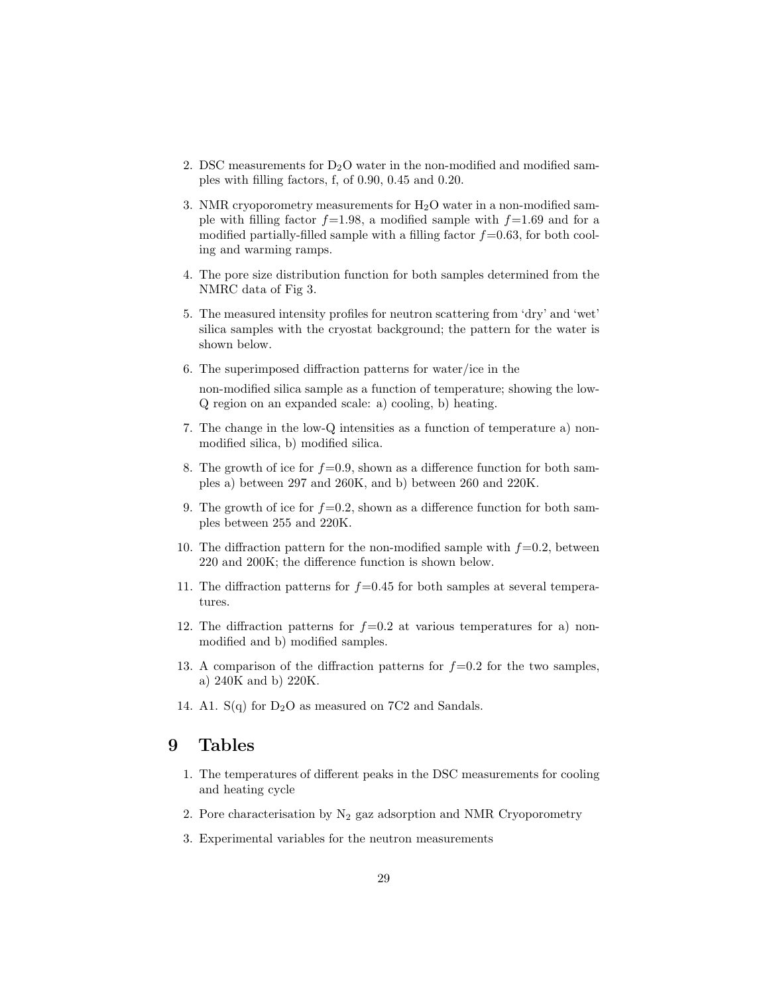- 2. DSC measurements for  $D_2O$  water in the non-modified and modified samples with filling factors, f, of 0.90, 0.45 and 0.20.
- 3. NMR cryoporometry measurements for  $H_2O$  water in a non-modified sample with filling factor  $f=1.98$ , a modified sample with  $f=1.69$  and for a modified partially-filled sample with a filling factor  $f=0.63$ , for both cooling and warming ramps.
- 4. The pore size distribution function for both samples determined from the NMRC data of Fig 3.
- 5. The measured intensity profiles for neutron scattering from 'dry' and 'wet' silica samples with the cryostat background; the pattern for the water is shown below.
- 6. The superimposed diffraction patterns for water/ice in the

non-modified silica sample as a function of temperature; showing the low-Q region on an expanded scale: a) cooling, b) heating.

- 7. The change in the low-Q intensities as a function of temperature a) nonmodified silica, b) modified silica.
- 8. The growth of ice for  $f=0.9$ , shown as a difference function for both samples a) between 297 and 260K, and b) between 260 and 220K.
- 9. The growth of ice for  $f=0.2$ , shown as a difference function for both samples between 255 and 220K.
- 10. The diffraction pattern for the non-modified sample with  $f=0.2$ , between 220 and 200K; the difference function is shown below.
- 11. The diffraction patterns for  $f=0.45$  for both samples at several temperatures.
- 12. The diffraction patterns for  $f=0.2$  at various temperatures for a) nonmodified and b) modified samples.
- 13. A comparison of the diffraction patterns for  $f=0.2$  for the two samples, a) 240K and b) 220K.
- 14. A1.  $S(q)$  for  $D_2O$  as measured on 7C2 and Sandals.

### 9 Tables

- 1. The temperatures of different peaks in the DSC measurements for cooling and heating cycle
- 2. Pore characterisation by  $N_2$  gaz adsorption and NMR Cryoporometry
- 3. Experimental variables for the neutron measurements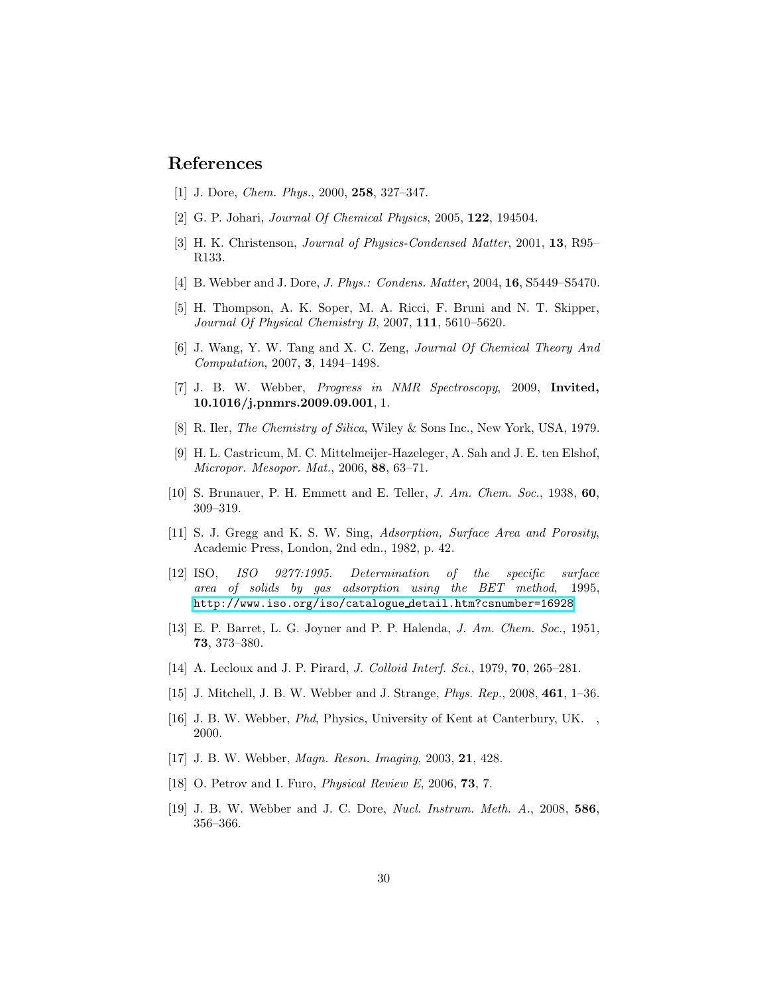### <span id="page-29-0"></span>References

- [1] J. Dore, *Chem. Phys.*, 2000, **258**, 327-347.
- <span id="page-29-1"></span>[2] G. P. Johari, Journal Of Chemical Physics, 2005, 122, 194504.
- <span id="page-29-2"></span>[3] H. K. Christenson, Journal of Physics-Condensed Matter, 2001, 13, R95– R133.
- <span id="page-29-3"></span>[4] B. Webber and J. Dore, J. Phys.: Condens. Matter, 2004, 16, S5449–S5470.
- <span id="page-29-4"></span>[5] H. Thompson, A. K. Soper, M. A. Ricci, F. Bruni and N. T. Skipper, Journal Of Physical Chemistry B, 2007, 111, 5610–5620.
- <span id="page-29-5"></span>[6] J. Wang, Y. W. Tang and X. C. Zeng, Journal Of Chemical Theory And Computation, 2007, 3, 1494–1498.
- <span id="page-29-6"></span>[7] J. B. W. Webber, *Progress in NMR Spectroscopy*, 2009, Invited, 10.1016/j.pnmrs.2009.09.001, 1.
- <span id="page-29-7"></span>[8] R. Iler, The Chemistry of Silica, Wiley & Sons Inc., New York, USA, 1979.
- <span id="page-29-8"></span>[9] H. L. Castricum, M. C. Mittelmeijer-Hazeleger, A. Sah and J. E. ten Elshof, Micropor. Mesopor. Mat., 2006, 88, 63–71.
- <span id="page-29-9"></span>[10] S. Brunauer, P. H. Emmett and E. Teller, J. Am. Chem. Soc., 1938, 60, 309–319.
- <span id="page-29-10"></span>[11] S. J. Gregg and K. S. W. Sing, Adsorption, Surface Area and Porosity, Academic Press, London, 2nd edn., 1982, p. 42.
- <span id="page-29-11"></span>[12] ISO, ISO 9277:1995. Determination of the specific surface area of solids by gas adsorption using the BET method, 1995, [http://www.iso.org/iso/catalogue](http://www.iso.org/iso/catalogue_detail.htm?csnumber=16928) detail.htm?csnumber=16928.
- <span id="page-29-12"></span>[13] E. P. Barret, L. G. Joyner and P. P. Halenda, J. Am. Chem. Soc., 1951, 73, 373–380.
- <span id="page-29-13"></span>[14] A. Lecloux and J. P. Pirard, *J. Colloid Interf. Sci.*, 1979, **70**, 265–281.
- <span id="page-29-14"></span>[15] J. Mitchell, J. B. W. Webber and J. Strange, Phys. Rep., 2008, 461, 1–36.
- <span id="page-29-15"></span>[16] J. B. W. Webber, *Phd*, Physics, University of Kent at Canterbury, UK., 2000.
- <span id="page-29-16"></span>[17] J. B. W. Webber, Magn. Reson. Imaging, 2003, 21, 428.
- <span id="page-29-17"></span>[18] O. Petrov and I. Furo, *Physical Review E*, 2006, **73**, 7.
- <span id="page-29-18"></span>[19] J. B. W. Webber and J. C. Dore, *Nucl. Instrum. Meth. A.*, 2008, 586, 356–366.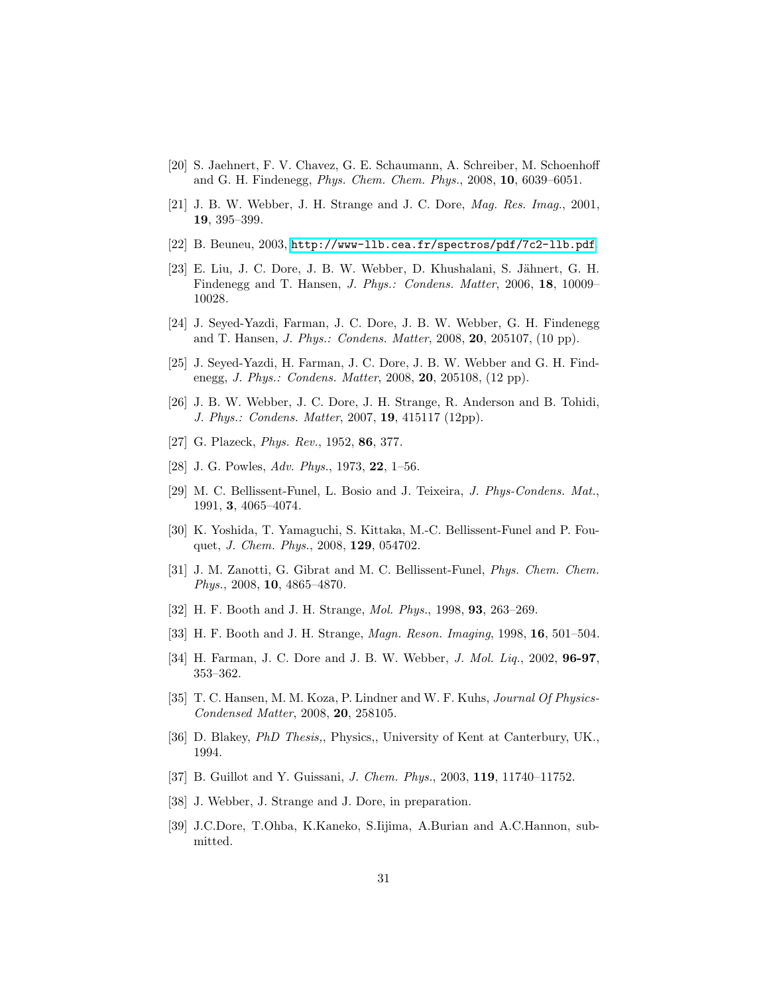- <span id="page-30-0"></span>[20] S. Jaehnert, F. V. Chavez, G. E. Schaumann, A. Schreiber, M. Schoenhoff and G. H. Findenegg, Phys. Chem. Chem. Phys., 2008, 10, 6039–6051.
- <span id="page-30-1"></span>[21] J. B. W. Webber, J. H. Strange and J. C. Dore, Mag. Res. Imag., 2001, 19, 395–399.
- <span id="page-30-2"></span>[22] B. Beuneu, 2003, <http://www-llb.cea.fr/spectros/pdf/7c2-llb.pdf>.
- <span id="page-30-3"></span>[23] E. Liu, J. C. Dore, J. B. W. Webber, D. Khushalani, S. Jähnert, G. H. Findenegg and T. Hansen, J. Phys.: Condens. Matter, 2006, 18, 10009– 10028.
- <span id="page-30-4"></span>[24] J. Seyed-Yazdi, Farman, J. C. Dore, J. B. W. Webber, G. H. Findenegg and T. Hansen, J. Phys.: Condens. Matter, 2008, 20, 205107, (10 pp).
- <span id="page-30-5"></span>[25] J. Seyed-Yazdi, H. Farman, J. C. Dore, J. B. W. Webber and G. H. Findenegg, *J. Phys.: Condens. Matter*, 2008, **20**, 205108, (12 pp).
- <span id="page-30-6"></span>[26] J. B. W. Webber, J. C. Dore, J. H. Strange, R. Anderson and B. Tohidi, J. Phys.: Condens. Matter, 2007, 19, 415117 (12pp).
- <span id="page-30-7"></span>[27] G. Plazeck, *Phys. Rev.*, 1952, 86, 377.
- <span id="page-30-8"></span>[28] J. G. Powles, Adv. Phys., 1973, 22, 1–56.
- <span id="page-30-9"></span>[29] M. C. Bellissent-Funel, L. Bosio and J. Teixeira, J. Phys-Condens. Mat., 1991, 3, 4065–4074.
- <span id="page-30-10"></span>[30] K. Yoshida, T. Yamaguchi, S. Kittaka, M.-C. Bellissent-Funel and P. Fouquet, J. Chem. Phys., 2008, 129, 054702.
- <span id="page-30-11"></span>[31] J. M. Zanotti, G. Gibrat and M. C. Bellissent-Funel, *Phys. Chem. Chem.* Phys., 2008, 10, 4865–4870.
- <span id="page-30-12"></span>[32] H. F. Booth and J. H. Strange, *Mol. Phys.*, 1998, **93**, 263–269.
- <span id="page-30-13"></span>[33] H. F. Booth and J. H. Strange, *Magn. Reson. Imaging*, 1998, **16**, 501–504.
- <span id="page-30-14"></span>[34] H. Farman, J. C. Dore and J. B. W. Webber, *J. Mol. Liq.*, 2002, **96-97**, 353–362.
- <span id="page-30-15"></span>[35] T. C. Hansen, M. M. Koza, P. Lindner and W. F. Kuhs, Journal Of Physics-Condensed Matter, 2008, 20, 258105.
- <span id="page-30-16"></span>[36] D. Blakey, PhD Thesis,, Physics,, University of Kent at Canterbury, UK., 1994.
- <span id="page-30-17"></span>[37] B. Guillot and Y. Guissani, J. Chem. Phys., 2003, 119, 11740–11752.
- <span id="page-30-19"></span>[38] J. Webber, J. Strange and J. Dore, in preparation.
- <span id="page-30-18"></span>[39] J.C.Dore, T.Ohba, K.Kaneko, S.Iijima, A.Burian and A.C.Hannon, submitted.